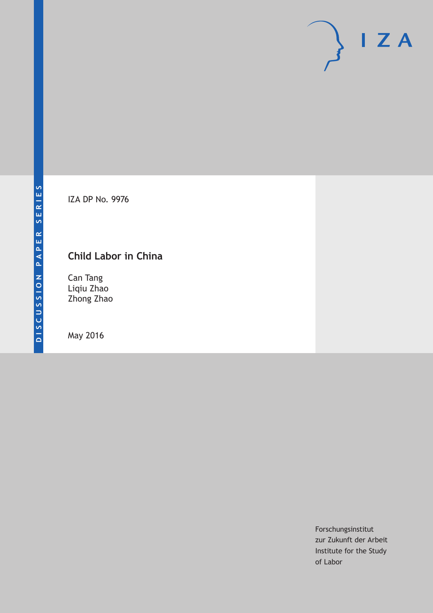

IZA DP No. 9976

# **Child Labor in China**

Can Tang Liqiu Zhao Zhong Zhao

May 2016

Forschungsinstitut zur Zukunft der Arbeit Institute for the Study of Labor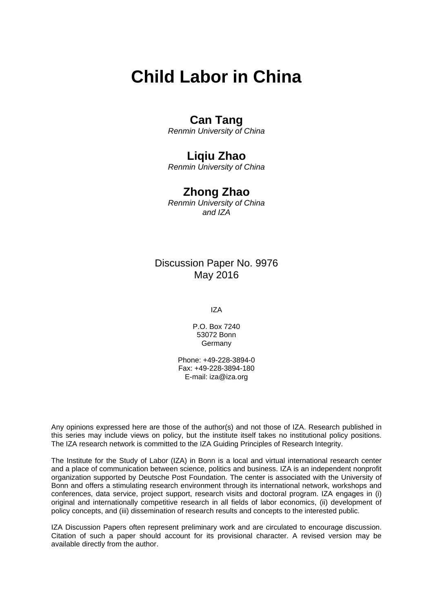# **Child Labor in China**

# **Can Tang**

*Renmin University of China* 

# **Liqiu Zhao**

*Renmin University of China* 

# **Zhong Zhao**

*Renmin University of China and IZA*

# Discussion Paper No. 9976 May 2016

IZA

P.O. Box 7240 53072 Bonn Germany

Phone: +49-228-3894-0 Fax: +49-228-3894-180 E-mail: iza@iza.org

Any opinions expressed here are those of the author(s) and not those of IZA. Research published in this series may include views on policy, but the institute itself takes no institutional policy positions. The IZA research network is committed to the IZA Guiding Principles of Research Integrity.

The Institute for the Study of Labor (IZA) in Bonn is a local and virtual international research center and a place of communication between science, politics and business. IZA is an independent nonprofit organization supported by Deutsche Post Foundation. The center is associated with the University of Bonn and offers a stimulating research environment through its international network, workshops and conferences, data service, project support, research visits and doctoral program. IZA engages in (i) original and internationally competitive research in all fields of labor economics, (ii) development of policy concepts, and (iii) dissemination of research results and concepts to the interested public.

IZA Discussion Papers often represent preliminary work and are circulated to encourage discussion. Citation of such a paper should account for its provisional character. A revised version may be available directly from the author.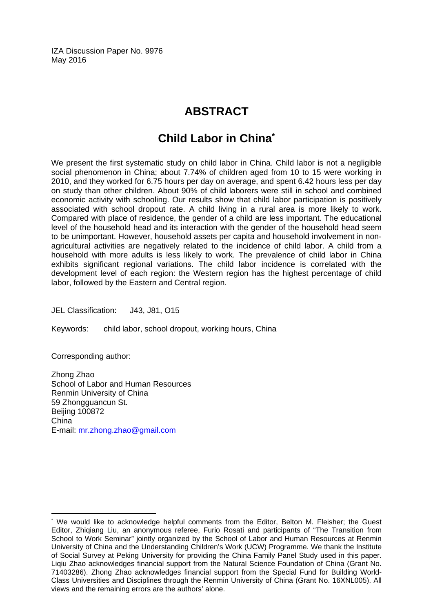IZA Discussion Paper No. 9976 May 2016

# **ABSTRACT**

# **Child Labor in China\***

We present the first systematic study on child labor in China. Child labor is not a negligible social phenomenon in China; about 7.74% of children aged from 10 to 15 were working in 2010, and they worked for 6.75 hours per day on average, and spent 6.42 hours less per day on study than other children. About 90% of child laborers were still in school and combined economic activity with schooling. Our results show that child labor participation is positively associated with school dropout rate. A child living in a rural area is more likely to work. Compared with place of residence, the gender of a child are less important. The educational level of the household head and its interaction with the gender of the household head seem to be unimportant. However, household assets per capita and household involvement in nonagricultural activities are negatively related to the incidence of child labor. A child from a household with more adults is less likely to work. The prevalence of child labor in China exhibits significant regional variations. The child labor incidence is correlated with the development level of each region: the Western region has the highest percentage of child labor, followed by the Eastern and Central region.

JEL Classification: J43, J81, O15

Keywords: child labor, school dropout, working hours, China

Corresponding author:

 $\overline{a}$ 

Zhong Zhao School of Labor and Human Resources Renmin University of China 59 Zhongguancun St. Beijing 100872 China E-mail: mr.zhong.zhao@gmail.com

<sup>\*</sup> We would like to acknowledge helpful comments from the Editor, Belton M. Fleisher; the Guest Editor, Zhiqiang Liu, an anonymous referee, Furio Rosati and participants of "The Transition from School to Work Seminar" jointly organized by the School of Labor and Human Resources at Renmin University of China and the Understanding Children's Work (UCW) Programme. We thank the Institute of Social Survey at Peking University for providing the China Family Panel Study used in this paper. Liqiu Zhao acknowledges financial support from the Natural Science Foundation of China (Grant No. 71403286). Zhong Zhao acknowledges financial support from the Special Fund for Building World-Class Universities and Disciplines through the Renmin University of China (Grant No. 16XNL005). All views and the remaining errors are the authors' alone.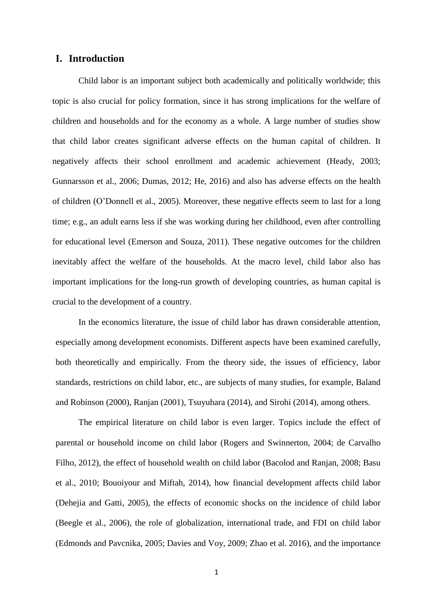# **I. Introduction**

Child labor is an important subject both academically and politically worldwide; this topic is also crucial for policy formation, since it has strong implications for the welfare of children and households and for the economy as a whole. A large number of studies show that child labor creates significant adverse effects on the human capital of children. It negatively affects their school enrollment and academic achievement (Heady, 2003; Gunnarsson et al., 2006; Dumas, 2012; He, 2016) and also has adverse effects on the health of children (O'Donnell et al., 2005). Moreover, these negative effects seem to last for a long time; e.g., an adult earns less if she was working during her childhood, even after controlling for educational level (Emerson and Souza, 2011). These negative outcomes for the children inevitably affect the welfare of the households. At the macro level, child labor also has important implications for the long-run growth of developing countries, as human capital is crucial to the development of a country.

In the economics literature, the issue of child labor has drawn considerable attention, especially among development economists. Different aspects have been examined carefully, both theoretically and empirically. From the theory side, the issues of efficiency, labor standards, restrictions on child labor, etc., are subjects of many studies, for example, Baland and Robinson (2000), Ranjan (2001), Tsuyuhara (2014), and Sirohi (2014), among others.

The empirical literature on child labor is even larger. Topics include the effect of parental or household income on child labor (Rogers and Swinnerton, 2004; de Carvalho Filho, 2012), the effect of household wealth on child labor (Bacolod and Ranjan, 2008; Basu et al., 2010; Bouoiyour and Miftah, 2014), how financial development affects child labor (Dehejia and Gatti, 2005), the effects of economic shocks on the incidence of child labor (Beegle et al., 2006), the role of globalization, international trade, and FDI on child labor (Edmonds and Pavcnika, 2005; Davies and Voy, 2009; Zhao et al. 2016), and the importance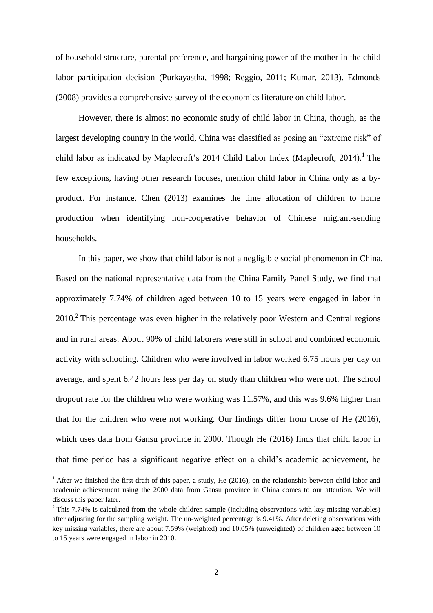of household structure, parental preference, and bargaining power of the mother in the child labor participation decision (Purkayastha, 1998; Reggio, 2011; Kumar, 2013). Edmonds (2008) provides a comprehensive survey of the economics literature on child labor.

However, there is almost no economic study of child labor in China, though, as the largest developing country in the world, China was classified as posing an "extreme risk" of child labor as indicated by Maplecroft's 2014 Child Labor Index (Maplecroft, 2014).<sup>1</sup> The few exceptions, having other research focuses, mention child labor in China only as a byproduct. For instance, Chen (2013) examines the time allocation of children to home production when identifying non-cooperative behavior of Chinese migrant-sending households.

In this paper, we show that child labor is not a negligible social phenomenon in China. Based on the national representative data from the China Family Panel Study, we find that approximately 7.74% of children aged between 10 to 15 years were engaged in labor in  $2010<sup>2</sup>$  This percentage was even higher in the relatively poor Western and Central regions and in rural areas. About 90% of child laborers were still in school and combined economic activity with schooling. Children who were involved in labor worked 6.75 hours per day on average, and spent 6.42 hours less per day on study than children who were not. The school dropout rate for the children who were working was 11.57%, and this was 9.6% higher than that for the children who were not working. Our findings differ from those of He (2016), which uses data from Gansu province in 2000. Though He (2016) finds that child labor in that time period has a significant negative effect on a child's academic achievement, he

**.** 

<sup>&</sup>lt;sup>1</sup> After we finished the first draft of this paper, a study, He (2016), on the relationship between child labor and academic achievement using the 2000 data from Gansu province in China comes to our attention. We will discuss this paper later.

 $2$  This 7.74% is calculated from the whole children sample (including observations with key missing variables) after adjusting for the sampling weight. The un-weighted percentage is 9.41%. After deleting observations with key missing variables, there are about 7.59% (weighted) and 10.05% (unweighted) of children aged between 10 to 15 years were engaged in labor in 2010.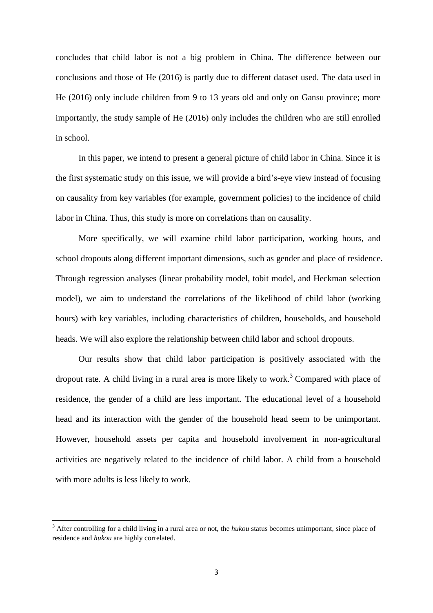concludes that child labor is not a big problem in China. The difference between our conclusions and those of He (2016) is partly due to different dataset used. The data used in He (2016) only include children from 9 to 13 years old and only on Gansu province; more importantly, the study sample of He (2016) only includes the children who are still enrolled in school.

In this paper, we intend to present a general picture of child labor in China. Since it is the first systematic study on this issue, we will provide a bird's-eye view instead of focusing on causality from key variables (for example, government policies) to the incidence of child labor in China. Thus, this study is more on correlations than on causality.

More specifically, we will examine child labor participation, working hours, and school dropouts along different important dimensions, such as gender and place of residence. Through regression analyses (linear probability model, tobit model, and Heckman selection model), we aim to understand the correlations of the likelihood of child labor (working hours) with key variables, including characteristics of children, households, and household heads. We will also explore the relationship between child labor and school dropouts.

Our results show that child labor participation is positively associated with the dropout rate. A child living in a rural area is more likely to work.<sup>3</sup> Compared with place of residence, the gender of a child are less important. The educational level of a household head and its interaction with the gender of the household head seem to be unimportant. However, household assets per capita and household involvement in non-agricultural activities are negatively related to the incidence of child labor. A child from a household with more adults is less likely to work.

1

<sup>&</sup>lt;sup>3</sup> After controlling for a child living in a rural area or not, the *hukou* status becomes unimportant, since place of residence and *hukou* are highly correlated.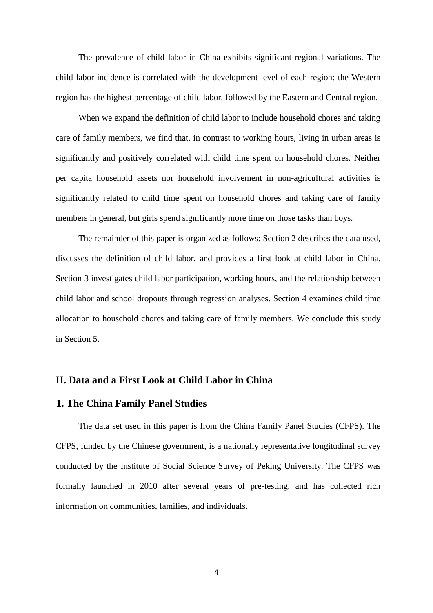The prevalence of child labor in China exhibits significant regional variations. The child labor incidence is correlated with the development level of each region: the Western region has the highest percentage of child labor, followed by the Eastern and Central region.

When we expand the definition of child labor to include household chores and taking care of family members, we find that, in contrast to working hours, living in urban areas is significantly and positively correlated with child time spent on household chores. Neither per capita household assets nor household involvement in non-agricultural activities is significantly related to child time spent on household chores and taking care of family members in general, but girls spend significantly more time on those tasks than boys.

The remainder of this paper is organized as follows: Section 2 describes the data used, discusses the definition of child labor, and provides a first look at child labor in China. Section 3 investigates child labor participation, working hours, and the relationship between child labor and school dropouts through regression analyses. Section 4 examines child time allocation to household chores and taking care of family members. We conclude this study in Section 5.

# **II. Data and a First Look at Child Labor in China**

# **1. The China Family Panel Studies**

The data set used in this paper is from the China Family Panel Studies (CFPS). The CFPS, funded by the Chinese government, is a nationally representative longitudinal survey conducted by the Institute of Social Science Survey of Peking University. The CFPS was formally launched in 2010 after several years of pre-testing, and has collected rich information on communities, families, and individuals.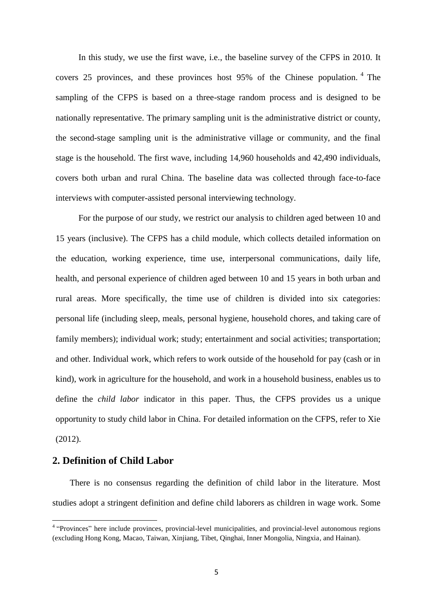In this study, we use the first wave, i.e., the baseline survey of the CFPS in 2010. It covers 25 provinces, and these provinces host  $95\%$  of the Chinese population.<sup>4</sup> The sampling of the CFPS is based on a three-stage random process and is designed to be nationally representative. The primary sampling unit is the administrative district or county, the second-stage sampling unit is the administrative village or community, and the final stage is the household. The first wave, including 14,960 households and 42,490 individuals, covers both urban and rural China. The baseline data was collected through face-to-face interviews with computer-assisted personal interviewing technology.

For the purpose of our study, we restrict our analysis to children aged between 10 and 15 years (inclusive). The CFPS has a child module, which collects detailed information on the education, working experience, time use, interpersonal communications, daily life, health, and personal experience of children aged between 10 and 15 years in both urban and rural areas. More specifically, the time use of children is divided into six categories: personal life (including sleep, meals, personal hygiene, household chores, and taking care of family members); individual work; study; entertainment and social activities; transportation; and other. Individual work, which refers to work outside of the household for pay (cash or in kind), work in agriculture for the household, and work in a household business, enables us to define the *child labor* indicator in this paper. Thus, the CFPS provides us a unique opportunity to study child labor in China. For detailed information on the CFPS, refer to Xie (2012).

# **2. Definition of Child Labor**

There is no consensus regarding the definition of child labor in the literature. Most studies adopt a stringent definition and define child laborers as children in wage work. Some

The two metalstands of the control of the two metalstands of the two metalstands are include provincial-level autonomous regions of "Provinces" here include provinces, provincial-level municipalities, and provincial-level (excluding Hong Kong, Macao, Taiwan, Xinjiang, Tibet, Qinghai, Inner Mongolia, Ningxia, and Hainan).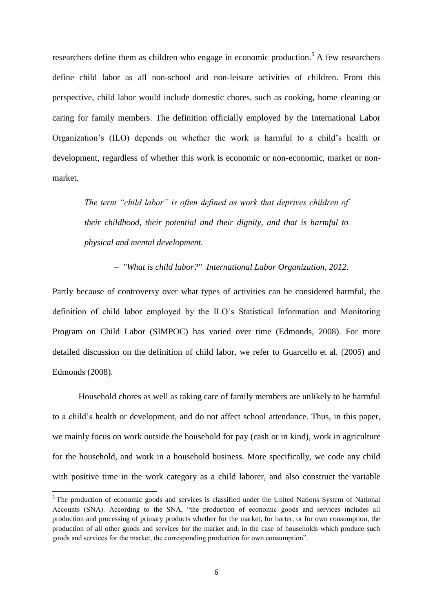researchers define them as children who engage in economic production.<sup>5</sup> A few researchers define child labor as all non-school and non-leisure activities of children. From this perspective, child labor would include domestic chores, such as cooking, home cleaning or caring for family members. The definition officially employed by the International Labor Organization's (ILO) depends on whether the work is harmful to a child's health or development, regardless of whether this work is economic or non-economic, market or nonmarket.

*The term "child labor" is often defined as work that deprives children of their childhood, their potential and their dignity, and that is harmful to physical and mental development.*

– *"What is child labor?" International Labor Organization, 2012.*

Partly because of controversy over what types of activities can be considered harmful, the definition of child labor employed by the ILO's Statistical Information and Monitoring Program on Child Labor (SIMPOC) has varied over time (Edmonds, 2008). For more detailed discussion on the definition of child labor, we refer to Guarcello et al. (2005) and Edmonds (2008).

Household chores as well as taking care of family members are unlikely to be harmful to a child's health or development, and do not affect school attendance. Thus, in this paper, we mainly focus on work outside the household for pay (cash or in kind), work in agriculture for the household, and work in a household business. More specifically, we code any child with positive time in the work category as a child laborer, and also construct the variable

**.** 

<sup>&</sup>lt;sup>5</sup> The production of economic goods and services is classified under the United Nations System of National Accounts (SNA). According to the SNA, "the production of economic goods and services includes all production and processing of primary products whether for the market, for barter, or for own consumption, the production of all other goods and services for the market and, in the case of households which produce such goods and services for the market, the corresponding production for own consumption".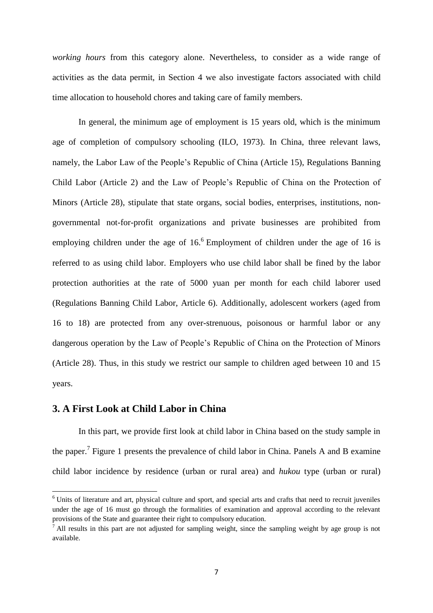*working hours* from this category alone. Nevertheless, to consider as a wide range of activities as the data permit, in Section 4 we also investigate factors associated with child time allocation to household chores and taking care of family members.

In general, the minimum age of employment is 15 years old, which is the minimum age of completion of compulsory schooling (ILO, 1973). In China, three relevant laws, namely, the Labor Law of the People's Republic of China (Article 15), Regulations Banning Child Labor (Article 2) and the Law of People's Republic of China on the Protection of Minors (Article 28), stipulate that state organs, social bodies, enterprises, institutions, nongovernmental not-for-profit organizations and private businesses are prohibited from employing children under the age of  $16<sup>6</sup>$  Employment of children under the age of 16 is referred to as using child labor. Employers who use child labor shall be fined by the labor protection authorities at the rate of 5000 yuan per month for each child laborer used (Regulations Banning Child Labor, Article 6). Additionally, adolescent workers (aged from 16 to 18) are protected from any over-strenuous, poisonous or harmful labor or any dangerous operation by the Law of People's Republic of China on the Protection of Minors (Article 28). Thus, in this study we restrict our sample to children aged between 10 and 15 years.

#### **3. A First Look at Child Labor in China**

**.** 

In this part, we provide first look at child labor in China based on the study sample in the paper.<sup>7</sup> Figure 1 presents the prevalence of child labor in China. Panels A and B examine child labor incidence by residence (urban or rural area) and *hukou* type (urban or rural)

<sup>6</sup> Units of literature and art, physical culture and sport, and special arts and crafts that need to recruit juveniles under the age of 16 must go through the formalities of examination and approval according to the relevant provisions of the State and guarantee their right to compulsory education.

 $<sup>7</sup>$  All results in this part are not adjusted for sampling weight, since the sampling weight by age group is not</sup> available.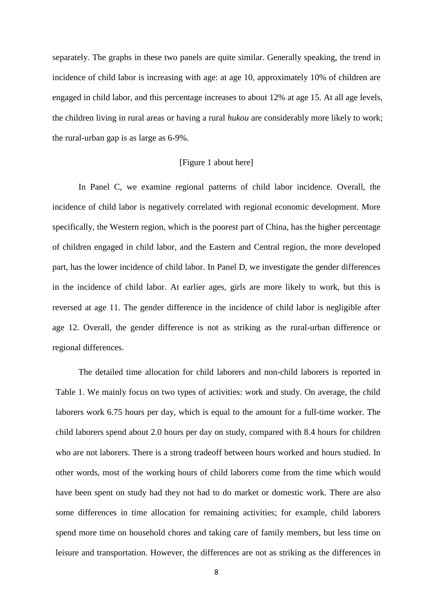separately. The graphs in these two panels are quite similar. Generally speaking, the trend in incidence of child labor is increasing with age: at age 10, approximately 10% of children are engaged in child labor, and this percentage increases to about 12% at age 15. At all age levels, the children living in rural areas or having a rural *hukou* are considerably more likely to work; the rural-urban gap is as large as 6-9%.

#### [Figure 1 about here]

In Panel C, we examine regional patterns of child labor incidence. Overall, the incidence of child labor is negatively correlated with regional economic development. More specifically, the Western region, which is the poorest part of China, has the higher percentage of children engaged in child labor, and the Eastern and Central region, the more developed part, has the lower incidence of child labor. In Panel D, we investigate the gender differences in the incidence of child labor. At earlier ages, girls are more likely to work, but this is reversed at age 11. The gender difference in the incidence of child labor is negligible after age 12. Overall, the gender difference is not as striking as the rural-urban difference or regional differences.

The detailed time allocation for child laborers and non-child laborers is reported in Table 1. We mainly focus on two types of activities: work and study. On average, the child laborers work 6.75 hours per day, which is equal to the amount for a full-time worker. The child laborers spend about 2.0 hours per day on study, compared with 8.4 hours for children who are not laborers. There is a strong tradeoff between hours worked and hours studied. In other words, most of the working hours of child laborers come from the time which would have been spent on study had they not had to do market or domestic work. There are also some differences in time allocation for remaining activities; for example, child laborers spend more time on household chores and taking care of family members, but less time on leisure and transportation. However, the differences are not as striking as the differences in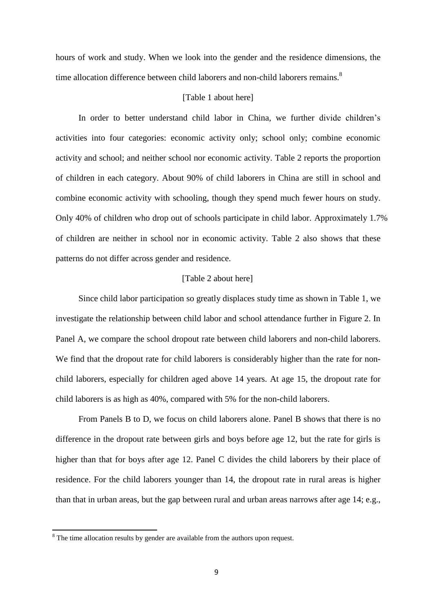hours of work and study. When we look into the gender and the residence dimensions, the time allocation difference between child laborers and non-child laborers remains.<sup>8</sup>

#### [Table 1 about here]

In order to better understand child labor in China, we further divide children's activities into four categories: economic activity only; school only; combine economic activity and school; and neither school nor economic activity. Table 2 reports the proportion of children in each category. About 90% of child laborers in China are still in school and combine economic activity with schooling, though they spend much fewer hours on study. Only 40% of children who drop out of schools participate in child labor. Approximately 1.7% of children are neither in school nor in economic activity. Table 2 also shows that these patterns do not differ across gender and residence.

#### [Table 2 about here]

Since child labor participation so greatly displaces study time as shown in Table 1, we investigate the relationship between child labor and school attendance further in Figure 2. In Panel A, we compare the school dropout rate between child laborers and non-child laborers. We find that the dropout rate for child laborers is considerably higher than the rate for nonchild laborers, especially for children aged above 14 years. At age 15, the dropout rate for child laborers is as high as 40%, compared with 5% for the non-child laborers.

From Panels B to D, we focus on child laborers alone. Panel B shows that there is no difference in the dropout rate between girls and boys before age 12, but the rate for girls is higher than that for boys after age 12. Panel C divides the child laborers by their place of residence. For the child laborers younger than 14, the dropout rate in rural areas is higher than that in urban areas, but the gap between rural and urban areas narrows after age 14; e.g.,

**.** 

<sup>&</sup>lt;sup>8</sup> The time allocation results by gender are available from the authors upon request.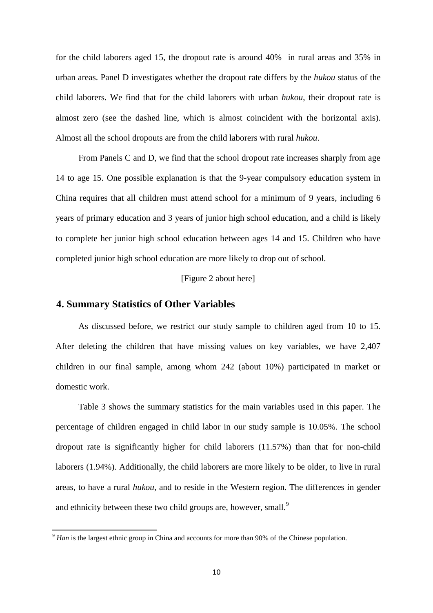for the child laborers aged 15, the dropout rate is around 40% in rural areas and 35% in urban areas. Panel D investigates whether the dropout rate differs by the *hukou* status of the child laborers. We find that for the child laborers with urban *hukou*, their dropout rate is almost zero (see the dashed line, which is almost coincident with the horizontal axis). Almost all the school dropouts are from the child laborers with rural *hukou*.

From Panels C and D, we find that the school dropout rate increases sharply from age 14 to age 15. One possible explanation is that the 9-year compulsory education system in China requires that all children must attend school for a minimum of 9 years, including 6 years of primary education and 3 years of junior high school education, and a child is likely to complete her junior high school education between ages 14 and 15. Children who have completed junior high school education are more likely to drop out of school.

#### [Figure 2 about here]

#### **4. Summary Statistics of Other Variables**

**.** 

As discussed before, we restrict our study sample to children aged from 10 to 15. After deleting the children that have missing values on key variables, we have 2,407 children in our final sample, among whom 242 (about 10%) participated in market or domestic work.

Table 3 shows the summary statistics for the main variables used in this paper. The percentage of children engaged in child labor in our study sample is 10.05%. The school dropout rate is significantly higher for child laborers (11.57%) than that for non-child laborers (1.94%). Additionally, the child laborers are more likely to be older, to live in rural areas, to have a rural *hukou,* and to reside in the Western region. The differences in gender and ethnicity between these two child groups are, however, small.<sup>9</sup>

 $9<sup>9</sup>$  *Han* is the largest ethnic group in China and accounts for more than 90% of the Chinese population.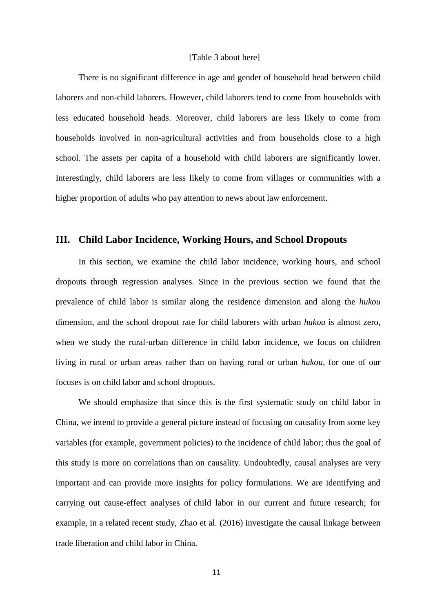#### [Table 3 about here]

There is no significant difference in age and gender of household head between child laborers and non-child laborers. However, child laborers tend to come from households with less educated household heads. Moreover, child laborers are less likely to come from households involved in non-agricultural activities and from households close to a high school. The assets per capita of a household with child laborers are significantly lower. Interestingly, child laborers are less likely to come from villages or communities with a higher proportion of adults who pay attention to news about law enforcement.

### **III. Child Labor Incidence, Working Hours, and School Dropouts**

In this section, we examine the child labor incidence, working hours, and school dropouts through regression analyses. Since in the previous section we found that the prevalence of child labor is similar along the residence dimension and along the *hukou* dimension, and the school dropout rate for child laborers with urban *hukou* is almost zero, when we study the rural-urban difference in child labor incidence, we focus on children living in rural or urban areas rather than on having rural or urban *hukou,* for one of our focuses is on child labor and school dropouts.

We should emphasize that since this is the first systematic study on child labor in China, we intend to provide a general picture instead of focusing on causality from some key variables (for example, government policies) to the incidence of child labor; thus the goal of this study is more on correlations than on causality. Undoubtedly, causal analyses are very important and can provide more insights for policy formulations. We are identifying and carrying out cause-effect analyses of child labor in our current and future research; for example, in a related recent study, Zhao et al. (2016) investigate the causal linkage between trade liberation and child labor in China.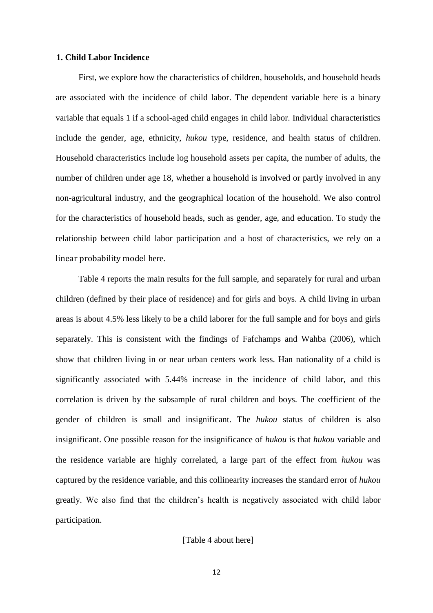#### **1. Child Labor Incidence**

First, we explore how the characteristics of children, households, and household heads are associated with the incidence of child labor. The dependent variable here is a binary variable that equals 1 if a school-aged child engages in child labor. Individual characteristics include the gender, age, ethnicity, *hukou* type, residence, and health status of children. Household characteristics include log household assets per capita, the number of adults, the number of children under age 18, whether a household is involved or partly involved in any non-agricultural industry, and the geographical location of the household. We also control for the characteristics of household heads, such as gender, age, and education. To study the relationship between child labor participation and a host of characteristics, we rely on a linear probability model here.

Table 4 reports the main results for the full sample, and separately for rural and urban children (defined by their place of residence) and for girls and boys. A child living in urban areas is about 4.5% less likely to be a child laborer for the full sample and for boys and girls separately. This is consistent with the findings of Fafchamps and Wahba (2006), which show that children living in or near urban centers work less. Han nationality of a child is significantly associated with 5.44% increase in the incidence of child labor, and this correlation is driven by the subsample of rural children and boys. The coefficient of the gender of children is small and insignificant. The *hukou* status of children is also insignificant. One possible reason for the insignificance of *hukou* is that *hukou* variable and the residence variable are highly correlated, a large part of the effect from *hukou* was captured by the residence variable, and this collinearity increases the standard error of *hukou* greatly. We also find that the children's health is negatively associated with child labor participation.

[Table 4 about here]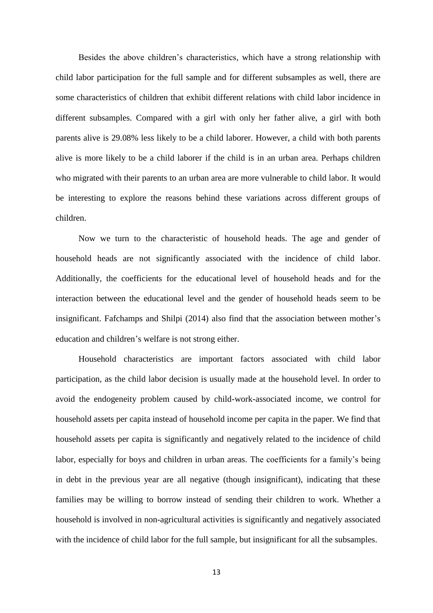Besides the above children's characteristics, which have a strong relationship with child labor participation for the full sample and for different subsamples as well, there are some characteristics of children that exhibit different relations with child labor incidence in different subsamples. Compared with a girl with only her father alive, a girl with both parents alive is 29.08% less likely to be a child laborer. However, a child with both parents alive is more likely to be a child laborer if the child is in an urban area. Perhaps children who migrated with their parents to an urban area are more vulnerable to child labor. It would be interesting to explore the reasons behind these variations across different groups of children.

Now we turn to the characteristic of household heads. The age and gender of household heads are not significantly associated with the incidence of child labor. Additionally, the coefficients for the educational level of household heads and for the interaction between the educational level and the gender of household heads seem to be insignificant. Fafchamps and Shilpi (2014) also find that the association between mother's education and children's welfare is not strong either.

Household characteristics are important factors associated with child labor participation, as the child labor decision is usually made at the household level. In order to avoid the endogeneity problem caused by child-work-associated income, we control for household assets per capita instead of household income per capita in the paper. We find that household assets per capita is significantly and negatively related to the incidence of child labor, especially for boys and children in urban areas. The coefficients for a family's being in debt in the previous year are all negative (though insignificant), indicating that these families may be willing to borrow instead of sending their children to work. Whether a household is involved in non-agricultural activities is significantly and negatively associated with the incidence of child labor for the full sample, but insignificant for all the subsamples.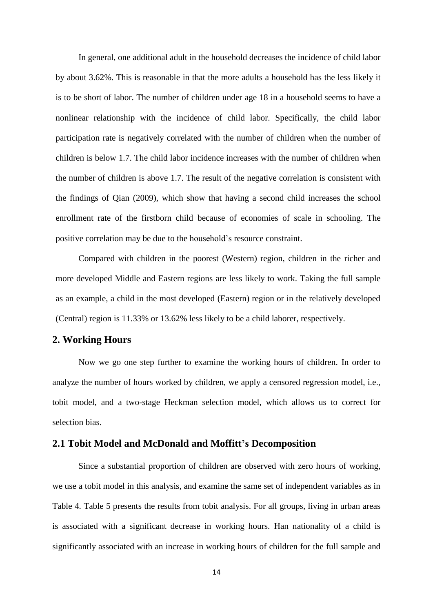In general, one additional adult in the household decreases the incidence of child labor by about 3.62%. This is reasonable in that the more adults a household has the less likely it is to be short of labor. The number of children under age 18 in a household seems to have a nonlinear relationship with the incidence of child labor. Specifically, the child labor participation rate is negatively correlated with the number of children when the number of children is below 1.7. The child labor incidence increases with the number of children when the number of children is above 1.7. The result of the negative correlation is consistent with the findings of Qian (2009), which show that having a second child increases the school enrollment rate of the firstborn child because of economies of scale in schooling. The positive correlation may be due to the household's resource constraint.

Compared with children in the poorest (Western) region, children in the richer and more developed Middle and Eastern regions are less likely to work. Taking the full sample as an example, a child in the most developed (Eastern) region or in the relatively developed (Central) region is 11.33% or 13.62% less likely to be a child laborer, respectively.

### **2. Working Hours**

Now we go one step further to examine the working hours of children. In order to analyze the number of hours worked by children, we apply a censored regression model, i.e., tobit model, and a two-stage Heckman selection model, which allows us to correct for selection bias.

#### **2.1 Tobit Model and McDonald and Moffitt's Decomposition**

Since a substantial proportion of children are observed with zero hours of working, we use a tobit model in this analysis, and examine the same set of independent variables as in Table 4. Table 5 presents the results from tobit analysis. For all groups, living in urban areas is associated with a significant decrease in working hours. Han nationality of a child is significantly associated with an increase in working hours of children for the full sample and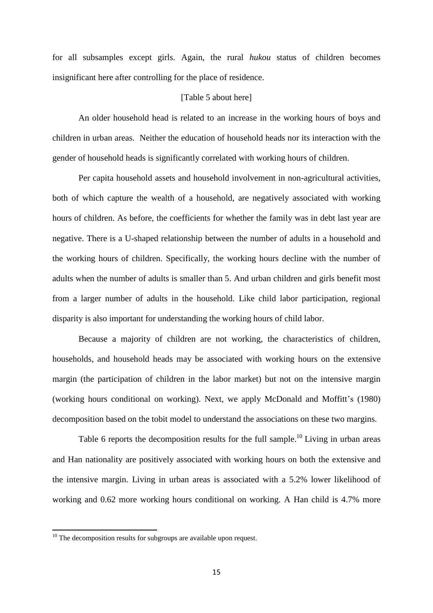for all subsamples except girls. Again, the rural *hukou* status of children becomes insignificant here after controlling for the place of residence.

#### [Table 5 about here]

An older household head is related to an increase in the working hours of boys and children in urban areas. Neither the education of household heads nor its interaction with the gender of household heads is significantly correlated with working hours of children.

Per capita household assets and household involvement in non-agricultural activities, both of which capture the wealth of a household, are negatively associated with working hours of children. As before, the coefficients for whether the family was in debt last year are negative. There is a U-shaped relationship between the number of adults in a household and the working hours of children. Specifically, the working hours decline with the number of adults when the number of adults is smaller than 5. And urban children and girls benefit most from a larger number of adults in the household. Like child labor participation, regional disparity is also important for understanding the working hours of child labor.

Because a majority of children are not working, the characteristics of children, households, and household heads may be associated with working hours on the extensive margin (the participation of children in the labor market) but not on the intensive margin (working hours conditional on working). Next, we apply McDonald and Moffitt's (1980) decomposition based on the tobit model to understand the associations on these two margins.

Table 6 reports the decomposition results for the full sample.<sup>10</sup> Living in urban areas and Han nationality are positively associated with working hours on both the extensive and the intensive margin. Living in urban areas is associated with a 5.2% lower likelihood of working and 0.62 more working hours conditional on working. A Han child is 4.7% more

**.** 

 $10$  The decomposition results for subgroups are available upon request.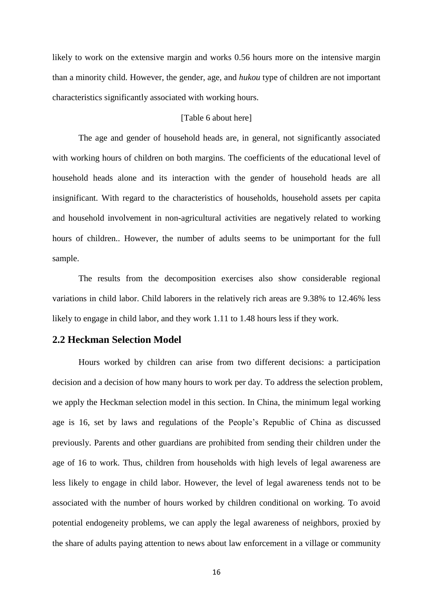likely to work on the extensive margin and works 0.56 hours more on the intensive margin than a minority child. However, the gender, age, and *hukou* type of children are not important characteristics significantly associated with working hours.

#### [Table 6 about here]

The age and gender of household heads are, in general, not significantly associated with working hours of children on both margins. The coefficients of the educational level of household heads alone and its interaction with the gender of household heads are all insignificant. With regard to the characteristics of households, household assets per capita and household involvement in non-agricultural activities are negatively related to working hours of children.. However, the number of adults seems to be unimportant for the full sample.

The results from the decomposition exercises also show considerable regional variations in child labor. Child laborers in the relatively rich areas are 9.38% to 12.46% less likely to engage in child labor, and they work 1.11 to 1.48 hours less if they work.

# **2.2 Heckman Selection Model**

Hours worked by children can arise from two different decisions: a participation decision and a decision of how many hours to work per day. To address the selection problem, we apply the Heckman selection model in this section. In China, the minimum legal working age is 16, set by laws and regulations of the People's Republic of China as discussed previously. Parents and other guardians are prohibited from sending their children under the age of 16 to work. Thus, children from households with high levels of legal awareness are less likely to engage in child labor. However, the level of legal awareness tends not to be associated with the number of hours worked by children conditional on working. To avoid potential endogeneity problems, we can apply the legal awareness of neighbors, proxied by the share of adults paying attention to news about law enforcement in a village or community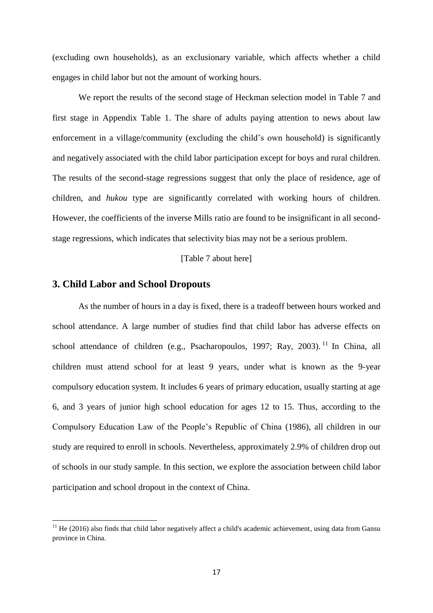(excluding own households), as an exclusionary variable, which affects whether a child engages in child labor but not the amount of working hours.

We report the results of the second stage of Heckman selection model in Table 7 and first stage in Appendix Table 1. The share of adults paying attention to news about law enforcement in a village/community (excluding the child's own household) is significantly and negatively associated with the child labor participation except for boys and rural children. The results of the second-stage regressions suggest that only the place of residence, age of children, and *hukou* type are significantly correlated with working hours of children. However, the coefficients of the inverse Mills ratio are found to be insignificant in all secondstage regressions, which indicates that selectivity bias may not be a serious problem.

# [Table 7 about here]

# **3. Child Labor and School Dropouts**

1

As the number of hours in a day is fixed, there is a tradeoff between hours worked and school attendance. A large number of studies find that child labor has adverse effects on school attendance of children (e.g., Psacharopoulos, 1997; Ray, 2003).<sup>11</sup> In China, all children must attend school for at least 9 years, under what is known as the 9-year compulsory education system. It includes 6 years of primary education, usually starting at age 6, and 3 years of junior high school education for ages 12 to 15. Thus, according to the Compulsory Education Law of the People's Republic of China (1986), all children in our study are required to enroll in schools. Nevertheless, approximately 2.9% of children drop out of schools in our study sample. In this section, we explore the association between child labor participation and school dropout in the context of China.

 $11$  He (2016) also finds that child labor negatively affect a child's academic achievement, using data from Gansu province in China.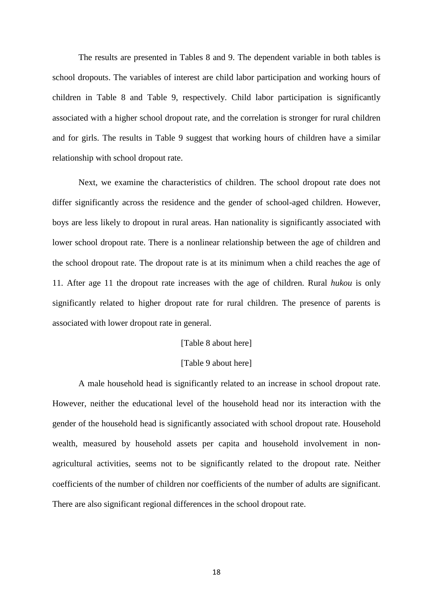The results are presented in Tables 8 and 9. The dependent variable in both tables is school dropouts. The variables of interest are child labor participation and working hours of children in Table 8 and Table 9, respectively. Child labor participation is significantly associated with a higher school dropout rate, and the correlation is stronger for rural children and for girls. The results in Table 9 suggest that working hours of children have a similar relationship with school dropout rate.

Next, we examine the characteristics of children. The school dropout rate does not differ significantly across the residence and the gender of school-aged children. However, boys are less likely to dropout in rural areas. Han nationality is significantly associated with lower school dropout rate. There is a nonlinear relationship between the age of children and the school dropout rate. The dropout rate is at its minimum when a child reaches the age of 11. After age 11 the dropout rate increases with the age of children. Rural *hukou* is only significantly related to higher dropout rate for rural children. The presence of parents is associated with lower dropout rate in general.

#### [Table 8 about here]

#### [Table 9 about here]

A male household head is significantly related to an increase in school dropout rate. However, neither the educational level of the household head nor its interaction with the gender of the household head is significantly associated with school dropout rate. Household wealth, measured by household assets per capita and household involvement in nonagricultural activities, seems not to be significantly related to the dropout rate. Neither coefficients of the number of children nor coefficients of the number of adults are significant. There are also significant regional differences in the school dropout rate.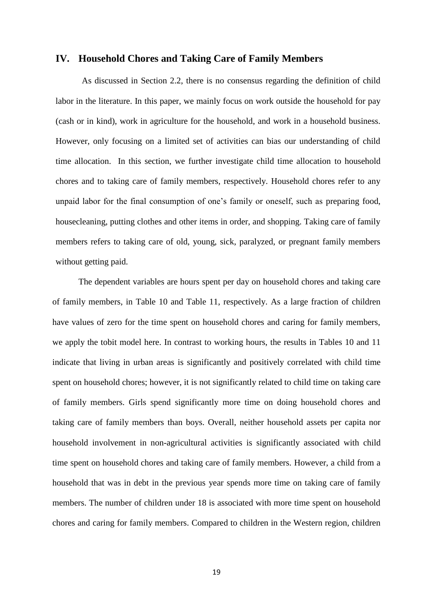### **IV. Household Chores and Taking Care of Family Members**

As discussed in Section 2.2, there is no consensus regarding the definition of child labor in the literature. In this paper, we mainly focus on work outside the household for pay (cash or in kind), work in agriculture for the household, and work in a household business. However, only focusing on a limited set of activities can bias our understanding of child time allocation. In this section, we further investigate child time allocation to household chores and to taking care of family members, respectively. Household chores refer to any unpaid labor for the final consumption of one's family or oneself, such as preparing food, housecleaning, putting clothes and other items in order, and shopping. Taking care of family members refers to taking care of old, young, sick, paralyzed, or pregnant family members without getting paid.

The dependent variables are hours spent per day on household chores and taking care of family members, in Table 10 and Table 11, respectively. As a large fraction of children have values of zero for the time spent on household chores and caring for family members, we apply the tobit model here. In contrast to working hours, the results in Tables 10 and 11 indicate that living in urban areas is significantly and positively correlated with child time spent on household chores; however, it is not significantly related to child time on taking care of family members. Girls spend significantly more time on doing household chores and taking care of family members than boys. Overall, neither household assets per capita nor household involvement in non-agricultural activities is significantly associated with child time spent on household chores and taking care of family members. However, a child from a household that was in debt in the previous year spends more time on taking care of family members. The number of children under 18 is associated with more time spent on household chores and caring for family members. Compared to children in the Western region, children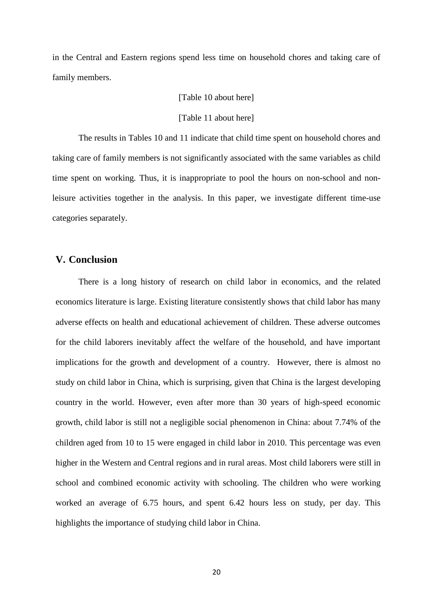in the Central and Eastern regions spend less time on household chores and taking care of family members.

#### [Table 10 about here]

#### [Table 11 about here]

The results in Tables 10 and 11 indicate that child time spent on household chores and taking care of family members is not significantly associated with the same variables as child time spent on working. Thus, it is inappropriate to pool the hours on non-school and nonleisure activities together in the analysis. In this paper, we investigate different time-use categories separately.

### **V. Conclusion**

There is a long history of research on child labor in economics, and the related economics literature is large. Existing literature consistently shows that child labor has many adverse effects on health and educational achievement of children. These adverse outcomes for the child laborers inevitably affect the welfare of the household, and have important implications for the growth and development of a country. However, there is almost no study on child labor in China, which is surprising, given that China is the largest developing country in the world. However, even after more than 30 years of high-speed economic growth, child labor is still not a negligible social phenomenon in China: about 7.74% of the children aged from 10 to 15 were engaged in child labor in 2010. This percentage was even higher in the Western and Central regions and in rural areas. Most child laborers were still in school and combined economic activity with schooling. The children who were working worked an average of 6.75 hours, and spent 6.42 hours less on study, per day. This highlights the importance of studying child labor in China.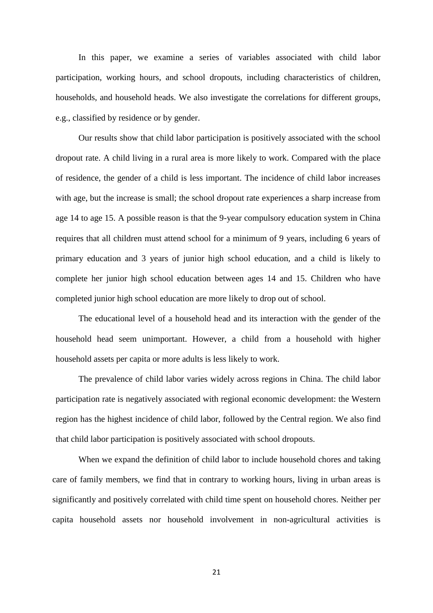In this paper, we examine a series of variables associated with child labor participation, working hours, and school dropouts, including characteristics of children, households, and household heads. We also investigate the correlations for different groups, e.g., classified by residence or by gender.

Our results show that child labor participation is positively associated with the school dropout rate. A child living in a rural area is more likely to work. Compared with the place of residence, the gender of a child is less important. The incidence of child labor increases with age, but the increase is small; the school dropout rate experiences a sharp increase from age 14 to age 15. A possible reason is that the 9-year compulsory education system in China requires that all children must attend school for a minimum of 9 years, including 6 years of primary education and 3 years of junior high school education, and a child is likely to complete her junior high school education between ages 14 and 15. Children who have completed junior high school education are more likely to drop out of school.

The educational level of a household head and its interaction with the gender of the household head seem unimportant. However, a child from a household with higher household assets per capita or more adults is less likely to work.

The prevalence of child labor varies widely across regions in China. The child labor participation rate is negatively associated with regional economic development: the Western region has the highest incidence of child labor, followed by the Central region. We also find that child labor participation is positively associated with school dropouts.

When we expand the definition of child labor to include household chores and taking care of family members, we find that in contrary to working hours, living in urban areas is significantly and positively correlated with child time spent on household chores. Neither per capita household assets nor household involvement in non-agricultural activities is

21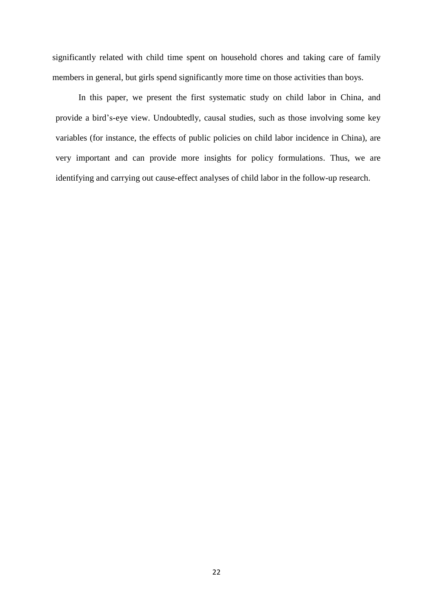significantly related with child time spent on household chores and taking care of family members in general, but girls spend significantly more time on those activities than boys.

In this paper, we present the first systematic study on child labor in China, and provide a bird's-eye view. Undoubtedly, causal studies, such as those involving some key variables (for instance, the effects of public policies on child labor incidence in China), are very important and can provide more insights for policy formulations. Thus, we are identifying and carrying out cause-effect analyses of child labor in the follow-up research.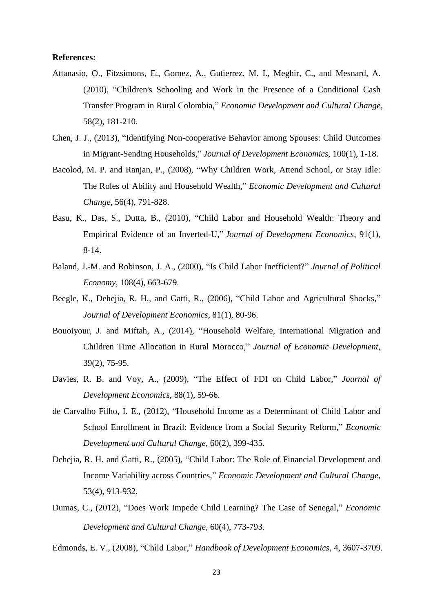#### **References:**

- Attanasio, O., Fitzsimons, E., Gomez, A., Gutierrez, M. I., Meghir, C., and Mesnard, A. (2010), "Children's Schooling and Work in the Presence of a Conditional Cash Transfer Program in Rural Colombia," *Economic Development and Cultural Change*, 58(2), 181-210.
- Chen, J. J., (2013), "Identifying Non-cooperative Behavior among Spouses: Child Outcomes in Migrant-Sending Households," *Journal of Development Economics*, 100(1), 1-18.
- Bacolod, M. P. and Ranjan, P., (2008), "Why Children Work, Attend School, or Stay Idle: The Roles of Ability and Household Wealth," *Economic Development and Cultural Change*, 56(4), 791-828.
- Basu, K., Das, S., Dutta, B., (2010), "Child Labor and Household Wealth: Theory and Empirical Evidence of an Inverted-U," *Journal of Development Economics*, 91(1), 8-14.
- Baland, J.-M. and Robinson, J. A., (2000), "Is Child Labor Inefficient?" *Journal of Political Economy*, 108(4), 663-679.
- Beegle, K., Dehejia, R. H., and Gatti, R., (2006), "Child Labor and Agricultural Shocks," *Journal of Development Economics*, 81(1), 80-96.
- Bouoiyour, J. and Miftah, A., (2014), "Household Welfare, International Migration and Children Time Allocation in Rural Morocco," *Journal of Economic Development*, 39(2), 75-95.
- Davies, R. B. and Voy, A., (2009), "The Effect of FDI on Child Labor," *Journal of Development Economics*, 88(1), 59-66.
- de Carvalho Filho, I. E., (2012), "Household Income as a Determinant of Child Labor and School Enrollment in Brazil: Evidence from a Social Security Reform," *Economic Development and Cultural Change*, 60(2), 399-435.
- Dehejia, R. H. and Gatti, R., (2005), "Child Labor: The Role of Financial Development and Income Variability across Countries," *Economic Development and Cultural Change*, 53(4), 913-932.
- Dumas, C., (2012), "Does Work Impede Child Learning? The Case of Senegal," *Economic Development and Cultural Change*, 60(4), 773-793.

Edmonds, E. V., (2008), "Child Labor," *Handbook of Development Economics*, 4, 3607-3709.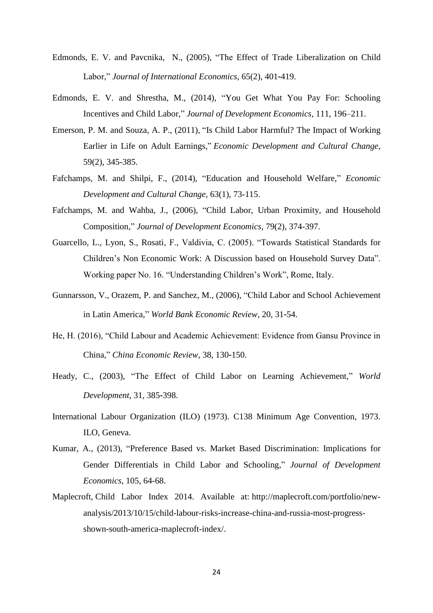- Edmonds, E. V. and Pavcnika, N., (2005), "The Effect of Trade Liberalization on Child Labor," *Journal of International Economics*, 65(2), 401-419.
- Edmonds, E. V. and Shrestha, M., (2014), "You Get What You Pay For: Schooling Incentives and Child Labor," *Journal of Development Economics*, 111, 196–211.
- Emerson, P. M. and Souza, A. P., (2011), "Is Child Labor Harmful? The Impact of Working Earlier in Life on Adult Earnings," *Economic Development and Cultural Change*, 59(2), 345-385.
- Fafchamps, M. and Shilpi, F., (2014), "Education and Household Welfare," *Economic Development and Cultural Change*, 63(1), 73-115.
- Fafchamps, M. and Wahba, J., (2006), "Child Labor, Urban Proximity, and Household Composition," *Journal of Development Economics*, 79(2), 374-397.
- Guarcello, L., Lyon, S., Rosati, F., Valdivia, C. (2005). "Towards Statistical Standards for Children's Non Economic Work: A Discussion based on Household Survey Data". Working paper No. 16. "Understanding Children's Work", Rome, Italy.
- Gunnarsson, V., Orazem, P. and Sanchez, M., (2006), "Child Labor and School Achievement in Latin America," *World Bank Economic Review*, 20, 31-54.
- He, H. (2016), "Child Labour and Academic Achievement: Evidence from Gansu Province in China," *China Economic Review*, 38, 130-150.
- Heady, C., (2003), "The Effect of Child Labor on Learning Achievement," *World Development*, 31, 385-398.
- International Labour Organization (ILO) (1973). C138 Minimum Age Convention, 1973. ILO, Geneva.
- Kumar, A., (2013), "Preference Based vs. Market Based Discrimination: Implications for Gender Differentials in Child Labor and Schooling," *Journal of Development Economics*, 105, 64-68.
- Maplecroft, Child Labor Index 2014. Available at: [http://maplecroft.com/portfolio/new](http://maplecroft.com/portfolio/new-analysis/2013/10/15/child-labour-risks-increase-china-and-russia-most-progress-shown-south-america-maplecroft-index/)[analysis/2013/10/15/child-labour-risks-increase-china-and-russia-most-progress](http://maplecroft.com/portfolio/new-analysis/2013/10/15/child-labour-risks-increase-china-and-russia-most-progress-shown-south-america-maplecroft-index/)[shown-south-america-maplecroft-index/.](http://maplecroft.com/portfolio/new-analysis/2013/10/15/child-labour-risks-increase-china-and-russia-most-progress-shown-south-america-maplecroft-index/)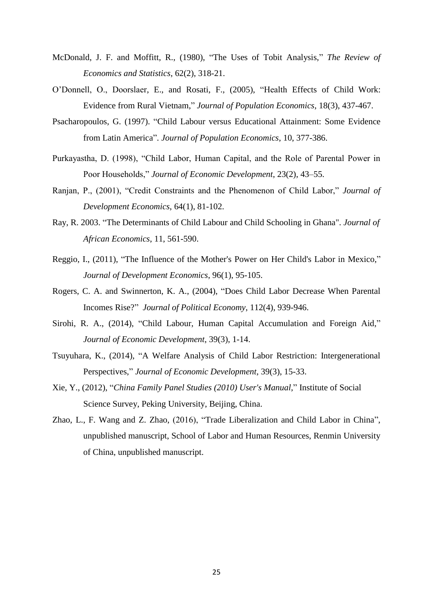- McDonald, J. F. and Moffitt, R., (1980), "The Uses of Tobit Analysis," *The Review of Economics and Statistics*, 62(2), 318-21.
- O'Donnell, O., Doorslaer, E., and Rosati, F., (2005), "Health Effects of Child Work: Evidence from Rural Vietnam," *Journal of Population Economics*, 18(3), 437-467.
- Psacharopoulos, G. (1997). "Child Labour versus Educational Attainment: Some Evidence from Latin America". *Journal of Population Economics*, 10, 377-386.
- Purkayastha, D. (1998), "Child Labor, Human Capital, and the Role of Parental Power in Poor Households," *Journal of Economic Development*, 23(2), 43–55.
- Ranjan, P., (2001), "Credit Constraints and the Phenomenon of Child Labor," *Journal of Development Economics*, 64(1), 81-102.
- Ray, R. 2003. "The Determinants of Child Labour and Child Schooling in Ghana". *Journal of African Economics*, 11, 561-590.
- Reggio, I., (2011), "The Influence of the Mother's Power on Her Child's Labor in Mexico," *Journal of Development Economics*, 96(1), 95-105.
- Rogers, C. A. and Swinnerton, K. A., (2004), "Does Child Labor Decrease When Parental Incomes Rise?" *Journal of Political Economy*, 112(4), 939-946.
- Sirohi, R. A., (2014), "Child Labour, Human Capital Accumulation and Foreign Aid," *Journal of Economic Development*, 39(3), 1-14.
- Tsuyuhara, K., (2014), "A Welfare Analysis of Child Labor Restriction: Intergenerational Perspectives," *Journal of Economic Development*, 39(3), 15-33.
- Xie, Y., (2012), "*China Family Panel Studies (2010) User's Manual*," Institute of Social Science Survey, Peking University, Beijing, China.
- Zhao, L., F. Wang and Z. Zhao, (2016), "Trade Liberalization and Child Labor in China", unpublished manuscript, School of Labor and Human Resources, Renmin University of China, unpublished manuscript.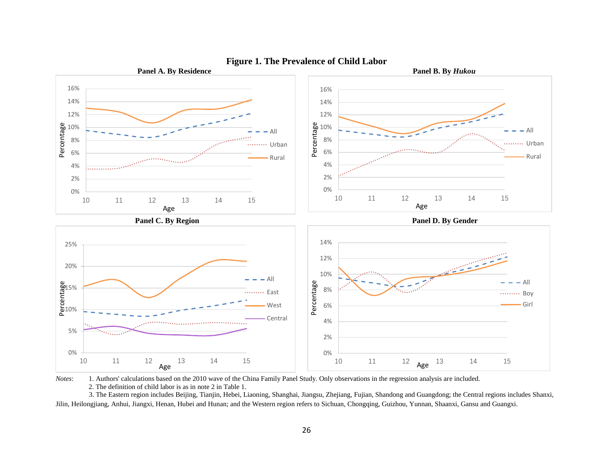

**Figure 1. The Prevalence of Child Labor**

*Notes*: 1. Authors' calculations based on the 2010 wave of the China Family Panel Study. Only observations in the regression analysis are included.

2. The definition of child labor is as in note 2 in Table 1.

 3. The Eastern region includes Beijing, Tianjin, Hebei, Liaoning, Shanghai, Jiangsu, Zhejiang, Fujian, Shandong and Guangdong; the Central regions includes Shanxi, Jilin, Heilongjiang, Anhui, Jiangxi, Henan, Hubei and Hunan; and the Western region refers to Sichuan, Chongqing, Guizhou, Yunnan, Shaanxi, Gansu and Guangxi.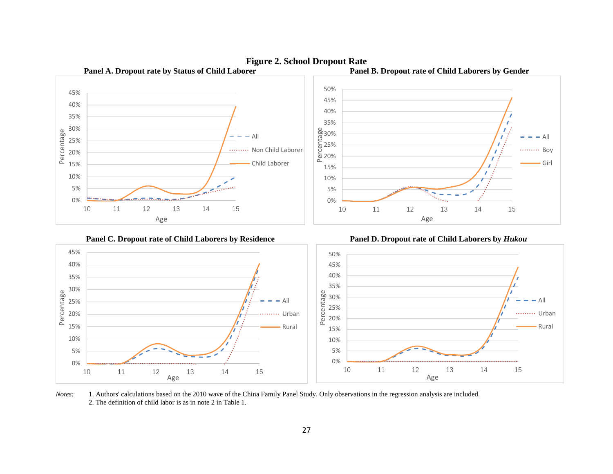



*Notes:* 1. Authors' calculations based on the 2010 wave of the China Family Panel Study. Only observations in the regression analysis are included. 2. The definition of child labor is as in note 2 in Table 1.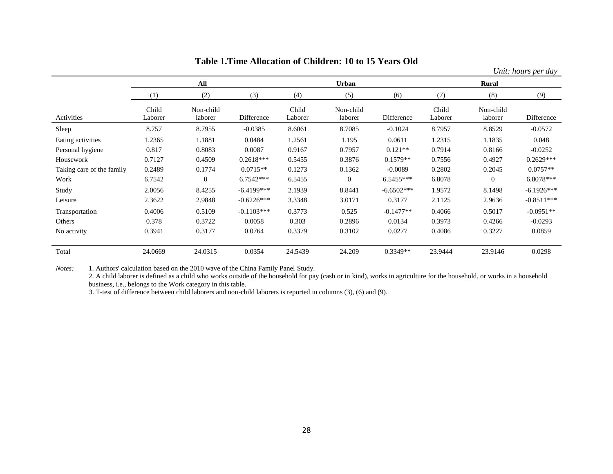|                           |                  |                      |              |                  |                      |              |                  |                      | Unit: hours per day |
|---------------------------|------------------|----------------------|--------------|------------------|----------------------|--------------|------------------|----------------------|---------------------|
|                           |                  | All                  |              |                  | Urban                |              |                  | <b>Rural</b>         |                     |
|                           | (1)              | (2)                  | (3)          | (4)              | (5)                  | (6)          | (7)              | (8)                  | (9)                 |
| Activities                | Child<br>Laborer | Non-child<br>laborer | Difference   | Child<br>Laborer | Non-child<br>laborer | Difference   | Child<br>Laborer | Non-child<br>laborer | Difference          |
| Sleep                     | 8.757            | 8.7955               | $-0.0385$    | 8.6061           | 8.7085               | $-0.1024$    | 8.7957           | 8.8529               | $-0.0572$           |
| Eating activities         | 1.2365           | 1.1881               | 0.0484       | 1.2561           | 1.195                | 0.0611       | 1.2315           | 1.1835               | 0.048               |
| Personal hygiene          | 0.817            | 0.8083               | 0.0087       | 0.9167           | 0.7957               | $0.121**$    | 0.7914           | 0.8166               | $-0.0252$           |
| Housework                 | 0.7127           | 0.4509               | $0.2618***$  | 0.5455           | 0.3876               | $0.1579**$   | 0.7556           | 0.4927               | $0.2629***$         |
| Taking care of the family | 0.2489           | 0.1774               | $0.0715**$   | 0.1273           | 0.1362               | $-0.0089$    | 0.2802           | 0.2045               | $0.0757**$          |
| Work                      | 6.7542           | $\theta$             | $6.7542***$  | 6.5455           | $\mathbf{0}$         | $6.5455***$  | 6.8078           | $\mathbf{0}$         | $6.8078***$         |
| Study                     | 2.0056           | 8.4255               | $-6.4199***$ | 2.1939           | 8.8441               | $-6.6502***$ | 1.9572           | 8.1498               | $-6.1926***$        |
| Leisure                   | 2.3622           | 2.9848               | $-0.6226***$ | 3.3348           | 3.0171               | 0.3177       | 2.1125           | 2.9636               | $-0.8511***$        |
| Transportation            | 0.4006           | 0.5109               | $-0.1103***$ | 0.3773           | 0.525                | $-0.1477**$  | 0.4066           | 0.5017               | $-0.0951**$         |
| Others                    | 0.378            | 0.3722               | 0.0058       | 0.303            | 0.2896               | 0.0134       | 0.3973           | 0.4266               | $-0.0293$           |
| No activity               | 0.3941           | 0.3177               | 0.0764       | 0.3379           | 0.3102               | 0.0277       | 0.4086           | 0.3227               | 0.0859              |
| Total                     | 24.0669          | 24.0315              | 0.0354       | 24.5439          | 24.209               | $0.3349**$   | 23.9444          | 23.9146              | 0.0298              |

**Table 1.Time Allocation of Children: 10 to 15 Years Old**

*Notes:* 1. Authors' calculation based on the 2010 wave of the China Family Panel Study.

2. A child laborer is defined as a child who works outside of the household for pay (cash or in kind), works in agriculture for the household, or works in a household business, i.e., belongs to the Work category in this table.

3. T-test of difference between child laborers and non-child laborers is reported in columns (3), (6) and (9).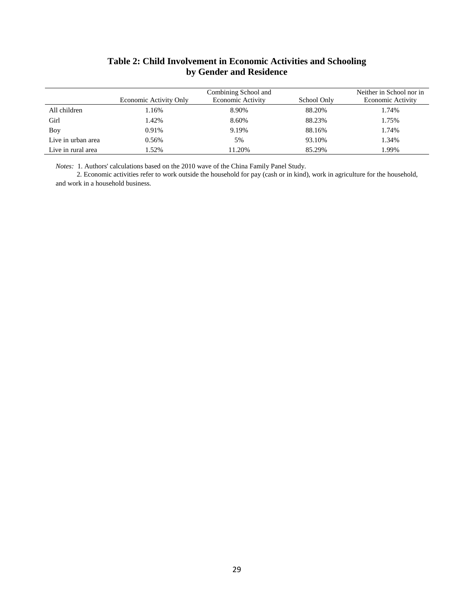# **Table 2: Child Involvement in Economic Activities and Schooling by Gender and Residence**

|                    | Economic Activity Only | Combining School and<br>Economic Activity | School Only | Neither in School nor in<br>Economic Activity |
|--------------------|------------------------|-------------------------------------------|-------------|-----------------------------------------------|
| All children       | 1.16%                  | 8.90%                                     | 88.20%      | 1.74%                                         |
| Girl               | 1.42%                  | 8.60%                                     | 88.23%      | 1.75%                                         |
| Boy                | 0.91%                  | 9.19%                                     | 88.16%      | 1.74%                                         |
| Live in urban area | 0.56%                  | 5%                                        | 93.10%      | 1.34%                                         |
| Live in rural area | 1.52%                  | 11.20%                                    | 85.29%      | 1.99%                                         |

*Notes:* 1. Authors' calculations based on the 2010 wave of the China Family Panel Study.

 2. Economic activities refer to work outside the household for pay (cash or in kind), work in agriculture for the household, and work in a household business.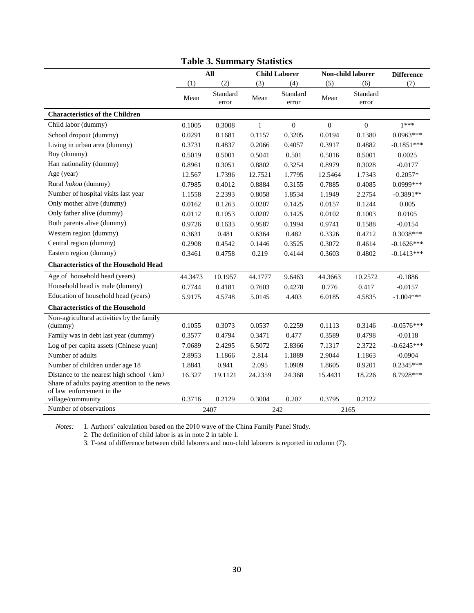|                                                                           | All     |                   | <b>Child Laborer</b> |                   | <b>Non-child laborer</b> |                   | <b>Difference</b> |
|---------------------------------------------------------------------------|---------|-------------------|----------------------|-------------------|--------------------------|-------------------|-------------------|
|                                                                           | (1)     | (2)               | (3)                  | (4)               | (5)                      | (6)               | (7)               |
|                                                                           | Mean    | Standard<br>error | Mean                 | Standard<br>error | Mean                     | Standard<br>error |                   |
| <b>Characteristics of the Children</b>                                    |         |                   |                      |                   |                          |                   |                   |
| Child labor (dummy)                                                       | 0.1005  | 0.3008            | $\mathbf{1}$         | $\overline{0}$    | $\overline{0}$           | $\overline{0}$    | $1***$            |
| School dropout (dummy)                                                    | 0.0291  | 0.1681            | 0.1157               | 0.3205            | 0.0194                   | 0.1380            | $0.0963***$       |
| Living in urban area (dummy)                                              | 0.3731  | 0.4837            | 0.2066               | 0.4057            | 0.3917                   | 0.4882            | $-0.1851***$      |
| Boy (dummy)                                                               | 0.5019  | 0.5001            | 0.5041               | 0.501             | 0.5016                   | 0.5001            | 0.0025            |
| Han nationality (dummy)                                                   | 0.8961  | 0.3051            | 0.8802               | 0.3254            | 0.8979                   | 0.3028            | $-0.0177$         |
| Age (year)                                                                | 12.567  | 1.7396            | 12.7521              | 1.7795            | 12.5464                  | 1.7343            | $0.2057*$         |
| Rural hukou (dummy)                                                       | 0.7985  | 0.4012            | 0.8884               | 0.3155            | 0.7885                   | 0.4085            | 0.0999***         |
| Number of hospital visits last year                                       | 1.1558  | 2.2393            | 0.8058               | 1.8534            | 1.1949                   | 2.2754            | $-0.3891**$       |
| Only mother alive (dummy)                                                 | 0.0162  | 0.1263            | 0.0207               | 0.1425            | 0.0157                   | 0.1244            | 0.005             |
| Only father alive (dummy)                                                 | 0.0112  | 0.1053            | 0.0207               | 0.1425            | 0.0102                   | 0.1003            | 0.0105            |
| Both parents alive (dummy)                                                | 0.9726  | 0.1633            | 0.9587               | 0.1994            | 0.9741                   | 0.1588            | $-0.0154$         |
| Western region (dummy)                                                    | 0.3631  | 0.481             | 0.6364               | 0.482             | 0.3326                   | 0.4712            | $0.3038***$       |
| Central region (dummy)                                                    | 0.2908  | 0.4542            | 0.1446               | 0.3525            | 0.3072                   | 0.4614            | $-0.1626***$      |
| Eastern region (dummy)                                                    | 0.3461  | 0.4758            | 0.219                | 0.4144            | 0.3603                   | 0.4802            | $-0.1413***$      |
| <b>Characteristics of the Household Head</b>                              |         |                   |                      |                   |                          |                   |                   |
| Age of household head (years)                                             | 44.3473 | 10.1957           | 44.1777              | 9.6463            | 44.3663                  | 10.2572           | $-0.1886$         |
| Household head is male (dummy)                                            | 0.7744  | 0.4181            | 0.7603               | 0.4278            | 0.776                    | 0.417             | $-0.0157$         |
| Education of household head (years)                                       | 5.9175  | 4.5748            | 5.0145               | 4.403             | 6.0185                   | 4.5835            | $-1.004***$       |
| <b>Characteristics of the Household</b>                                   |         |                   |                      |                   |                          |                   |                   |
| Non-agricultural activities by the family                                 |         |                   |                      |                   |                          |                   |                   |
| (dummy)                                                                   | 0.1055  | 0.3073            | 0.0537               | 0.2259            | 0.1113                   | 0.3146            | $-0.0576***$      |
| Family was in debt last year (dummy)                                      | 0.3577  | 0.4794            | 0.3471               | 0.477             | 0.3589                   | 0.4798            | $-0.0118$         |
| Log of per capita assets (Chinese yuan)                                   | 7.0689  | 2.4295            | 6.5072               | 2.8366            | 7.1317                   | 2.3722            | $-0.6245***$      |
| Number of adults                                                          | 2.8953  | 1.1866            | 2.814                | 1.1889            | 2.9044                   | 1.1863            | $-0.0904$         |
| Number of children under age 18                                           | 1.8841  | 0.941             | 2.095                | 1.0909            | 1.8605                   | 0.9201            | 0.2345***         |
| Distance to the nearest high school (km)                                  | 16.327  | 19.1121           | 24.2359              | 24.368            | 15.4431                  | 18.226            | 8.7928***         |
| Share of adults paying attention to the news<br>of law enforcement in the |         |                   |                      |                   |                          |                   |                   |
| village/community                                                         | 0.3716  | 0.2129            | 0.3004               | 0.207             | 0.3795                   | 0.2122            |                   |
| Number of observations                                                    |         | 2407              |                      | 242               |                          | 2165              |                   |

**Table 3. Summary Statistics**

*Notes:* 1. Authors' calculation based on the 2010 wave of the China Family Panel Study.

2. The definition of child labor is as in note 2 in table 1.

3. T-test of difference between child laborers and non-child laborers is reported in column (7).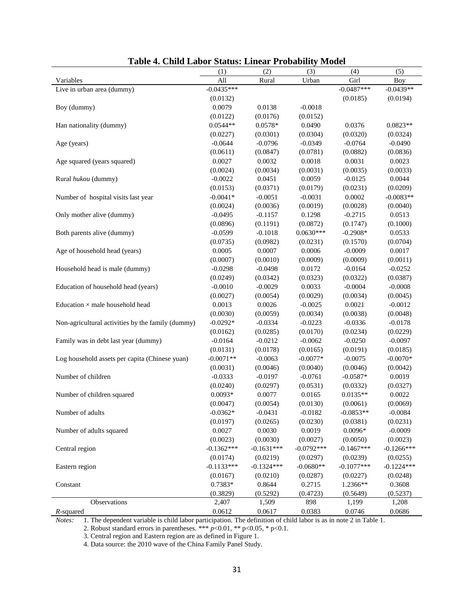|                                                   | (1)          | (2)          | (3)          | (4)          | (5)          |
|---------------------------------------------------|--------------|--------------|--------------|--------------|--------------|
| Variables                                         | All          | Rural        | Urban        | Girl         | Boy          |
| Live in urban area (dummy)                        | $-0.0435***$ |              |              | $-0.0487***$ | $-0.0439**$  |
|                                                   | (0.0132)     |              |              | (0.0185)     | (0.0194)     |
| Boy (dummy)                                       | 0.0079       | 0.0138       | $-0.0018$    |              |              |
|                                                   | (0.0122)     | (0.0176)     | (0.0152)     |              |              |
| Han nationality (dummy)                           | $0.0544**$   | $0.0578*$    | 0.0490       | 0.0376       | $0.0823**$   |
|                                                   | (0.0227)     | (0.0301)     | (0.0304)     | (0.0320)     | (0.0324)     |
| Age (years)                                       | $-0.0644$    | $-0.0796$    | $-0.0349$    | $-0.0764$    | $-0.0490$    |
|                                                   | (0.0611)     | (0.0847)     | (0.0781)     | (0.0882)     | (0.0836)     |
| Age squared (years squared)                       | 0.0027       | 0.0032       | 0.0018       | 0.0031       | 0.0023       |
|                                                   | (0.0024)     | (0.0034)     | (0.0031)     | (0.0035)     | (0.0033)     |
| Rural hukou (dummy)                               | $-0.0022$    | 0.0451       | 0.0059       | $-0.0125$    | 0.0044       |
|                                                   | (0.0153)     | (0.0371)     | (0.0179)     | (0.0231)     | (0.0209)     |
| Number of hospital visits last year               | $-0.0041*$   | $-0.0051$    | $-0.0031$    | 0.0002       | $-0.0083**$  |
|                                                   | (0.0024)     | (0.0036)     | (0.0019)     | (0.0028)     | (0.0040)     |
| Only mother alive (dummy)                         | $-0.0495$    | $-0.1157$    | 0.1298       | $-0.2715$    | 0.0513       |
|                                                   | (0.0896)     | (0.1191)     | (0.0872)     | (0.1747)     | (0.1000)     |
| Both parents alive (dummy)                        | $-0.0599$    | $-0.1018$    | $0.0630***$  | $-0.2908*$   | 0.0533       |
|                                                   | (0.0735)     | (0.0982)     | (0.0231)     | (0.1570)     | (0.0704)     |
| Age of household head (years)                     | 0.0005       | 0.0007       | 0.0006       | $-0.0009$    | 0.0017       |
|                                                   | (0.0007)     | (0.0010)     | (0.0009)     | (0.0009)     | (0.0011)     |
| Household head is male (dummy)                    | $-0.0298$    | $-0.0498$    | 0.0172       | $-0.0164$    | $-0.0252$    |
|                                                   | (0.0249)     | (0.0342)     | (0.0323)     | (0.0322)     | (0.0387)     |
| Education of household head (years)               | $-0.0010$    | $-0.0029$    | 0.0033       | $-0.0004$    | $-0.0008$    |
|                                                   | (0.0027)     | (0.0054)     | (0.0029)     | (0.0034)     | (0.0045)     |
| Education $\times$ male household head            | 0.0013       | 0.0026       | $-0.0025$    | 0.0021       | $-0.0012$    |
|                                                   | (0.0030)     | (0.0059)     | (0.0034)     | (0.0038)     | (0.0048)     |
| Non-agricultural activities by the family (dummy) | $-0.0292*$   | $-0.0334$    | $-0.0223$    | $-0.0336$    | $-0.0178$    |
|                                                   | (0.0162)     | (0.0285)     | (0.0170)     | (0.0234)     | (0.0229)     |
| Family was in debt last year (dummy)              | $-0.0164$    | $-0.0212$    | $-0.0062$    | $-0.0250$    | $-0.0097$    |
|                                                   | (0.0131)     | (0.0178)     | (0.0165)     | (0.0191)     | (0.0185)     |
| Log household assets per capita (Chinese yuan)    | $-0.0071**$  | $-0.0063$    | $-0.0077*$   | $-0.0075$    | $-0.0070*$   |
|                                                   | (0.0031)     | (0.0046)     | (0.0040)     | (0.0046)     | (0.0042)     |
| Number of children                                | $-0.0333$    | $-0.0197$    | $-0.0761$    | $-0.0587*$   | 0.0019       |
|                                                   | (0.0240)     | (0.0297)     | (0.0531)     | (0.0332)     | (0.0327)     |
| Number of children squared                        | $0.0093*$    | 0.0077       | 0.0165       | $0.0135**$   | 0.0022       |
|                                                   | (0.0047)     | (0.0054)     | (0.0130)     | (0.0061)     | (0.0069)     |
| Number of adults                                  | $-0.0362*$   | $-0.0431$    | $-0.0182$    | $-0.0853**$  | $-0.0084$    |
|                                                   | (0.0197)     | (0.0265)     | (0.0230)     | (0.0381)     | (0.0231)     |
| Number of adults squared                          | 0.0027       | 0.0030       | 0.0019       | $0.0096*$    | $-0.0009$    |
|                                                   | (0.0023)     | (0.0030)     | (0.0027)     | (0.0050)     | (0.0023)     |
| Central region                                    | $-0.1362***$ | $-0.1631***$ | $-0.0792***$ | $-0.1467***$ | $-0.1266***$ |
|                                                   | (0.0174)     | (0.0219)     | (0.0297)     | (0.0239)     | (0.0255)     |
| Eastern region                                    | $-0.1133***$ | $-0.1324***$ | $-0.0680**$  | $-0.1077***$ | $-0.1224***$ |
|                                                   | (0.0167)     | (0.0210)     | (0.0287)     | (0.0227)     | (0.0248)     |
| Constant                                          | $0.7383*$    | 0.8644       | 0.2715       | 1.2366**     | 0.3608       |
|                                                   | (0.3829)     | (0.5292)     | (0.4723)     | (0.5649)     | (0.5237)     |
| Observations                                      | 2,407        | 1,509        | 898          | 1,199        | 1,208        |
| $R$ -squared                                      | 0.0612       | 0.0617       | 0.0383       | 0.0746       | 0.0686       |

|  |  |  |  | <b>Table 4. Child Labor Status: Linear Probability Model</b> |
|--|--|--|--|--------------------------------------------------------------|
|--|--|--|--|--------------------------------------------------------------|

*Notes:* 1. The dependent variable is child labor participation. The definition of child labor is as in note 2 in Table 1.

2. Robust standard errors in parentheses. \*\*\* *p*<0.01, \*\* p<0.05, \* p<0.1.

3. Central region and Eastern region are as defined in Figure 1.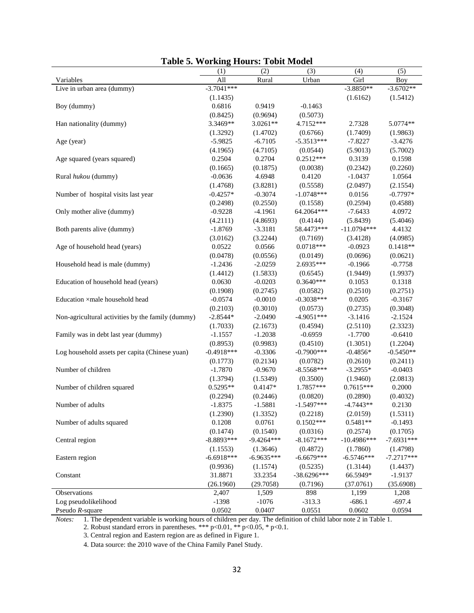|                                                   | rabic $\mathcal{S}_t$ , working rivation robit mod | (2)          | (3)           | (4)           | (5)          |
|---------------------------------------------------|----------------------------------------------------|--------------|---------------|---------------|--------------|
| Variables                                         | (1)<br>All                                         | Rural        | Urban         | Girl          | <b>Boy</b>   |
| Live in urban area (dummy)                        | $-3.7041***$                                       |              |               | $-3.8850**$   | $-3.6702**$  |
|                                                   | (1.1435)                                           |              |               | (1.6162)      | (1.5412)     |
| Boy (dummy)                                       | 0.6816                                             | 0.9419       | $-0.1463$     |               |              |
|                                                   | (0.8425)                                           | (0.9694)     | (0.5073)      |               |              |
| Han nationality (dummy)                           | 3.3469**                                           | 3.0261**     | 4.7152***     | 2.7328        | 5.0774**     |
|                                                   | (1.3292)                                           | (1.4702)     | (0.6766)      | (1.7409)      | (1.9863)     |
| Age (year)                                        | $-5.9825$                                          | $-6.7105$    | $-5.3513***$  | $-7.8227$     | $-3.4276$    |
|                                                   | (4.1965)                                           | (4.7105)     | (0.0544)      | (5.9013)      | (5.7002)     |
| Age squared (years squared)                       | 0.2504                                             | 0.2704       | $0.2512***$   | 0.3139        | 0.1598       |
|                                                   | (0.1665)                                           | (0.1875)     | (0.0038)      | (0.2342)      | (0.2260)     |
| Rural hukou (dummy)                               | $-0.0636$                                          | 4.6948       | 0.4120        | $-1.0437$     | 1.0564       |
|                                                   | (1.4768)                                           | (3.8281)     | (0.5558)      | (2.0497)      | (2.1554)     |
| Number of hospital visits last year               | $-0.4257*$                                         | $-0.3074$    | $-1.0748***$  | 0.0156        | $-0.7797*$   |
|                                                   | (0.2498)                                           | (0.2550)     | (0.1558)      | (0.2594)      | (0.4588)     |
| Only mother alive (dummy)                         | $-0.9228$                                          | $-4.1961$    | 64.2064***    | $-7.6433$     | 4.0972       |
|                                                   | (4.2111)                                           | (4.8693)     | (0.4144)      | (5.8439)      | (5.4046)     |
| Both parents alive (dummy)                        | $-1.8769$                                          | $-3.3181$    | 58.4473***    | $-11.0794***$ | 4.4132       |
|                                                   | (3.0162)                                           | (3.2244)     | (0.7169)      | (3.4128)      | (4.0985)     |
| Age of household head (years)                     | 0.0522                                             | 0.0566       | $0.0718***$   | $-0.0923$     | $0.1418**$   |
|                                                   | (0.0478)                                           | (0.0556)     | (0.0149)      | (0.0696)      | (0.0621)     |
| Household head is male (dummy)                    | $-1.2436$                                          | $-2.0259$    | 2.6935***     | $-0.1966$     | $-0.7758$    |
|                                                   | (1.4412)                                           | (1.5833)     | (0.6545)      | (1.9449)      | (1.9937)     |
| Education of household head (years)               | 0.0630                                             | $-0.0203$    | $0.3640***$   | 0.1053        | 0.1318       |
|                                                   | (0.1908)                                           | (0.2745)     | (0.0582)      | (0.2510)      | (0.2751)     |
| Education ×male household head                    | $-0.0574$                                          | $-0.0010$    | $-0.3038***$  | 0.0205        | $-0.3167$    |
|                                                   | (0.2103)                                           | (0.3010)     | (0.0573)      | (0.2735)      | (0.3048)     |
| Non-agricultural activities by the family (dummy) | $-2.8544*$                                         | $-2.0490$    | $-4.9051***$  | $-3.1416$     | $-2.1524$    |
|                                                   | (1.7033)                                           | (2.1673)     | (0.4594)      | (2.5110)      | (2.3323)     |
| Family was in debt last year (dummy)              | $-1.1557$                                          | $-1.2038$    | $-0.6959$     | $-1.7700$     | $-0.6410$    |
|                                                   | (0.8953)                                           | (0.9983)     | (0.4510)      | (1.3051)      | (1.2204)     |
| Log household assets per capita (Chinese yuan)    | $-0.4918***$                                       | $-0.3306$    | $-0.7900$ *** | $-0.4856*$    | $-0.5450**$  |
|                                                   | (0.1773)                                           | (0.2134)     | (0.0782)      | (0.2610)      | (0.2411)     |
| Number of children                                | $-1.7870$                                          | $-0.9670$    | $-8.5568***$  | $-3.2955*$    | $-0.0403$    |
|                                                   | (1.3794)                                           | (1.5349)     | (0.3500)      | (1.9460)      | (2.0813)     |
| Number of children squared                        | $0.5295**$                                         | $0.4147*$    | 1.7857***     | $0.7615***$   | 0.2000       |
|                                                   | (0.2294)                                           | (0.2446)     | (0.0820)      | (0.2890)      | (0.4032)     |
| Number of adults                                  | $-1.8375$                                          | $-1.5881$    | $-1.5497***$  | $-4.7443**$   | 0.2130       |
|                                                   | (1.2390)                                           | (1.3352)     | (0.2218)      | (2.0159)      | (1.5311)     |
| Number of adults squared                          | 0.1208                                             | 0.0761       | $0.1502***$   | $0.5481**$    | $-0.1493$    |
|                                                   | (0.1474)                                           | (0.1540)     | (0.0316)      | (0.2574)      | (0.1705)     |
| Central region                                    | $-8.8893***$                                       | $-9.4264***$ | $-8.1672***$  | $-10.4986***$ | $-7.6931***$ |
|                                                   | (1.1553)                                           | (1.3646)     | (0.4872)      | (1.7860)      | (1.4798)     |
| Eastern region                                    | $-6.6918***$                                       | $-6.9635***$ | $-6.6679***$  | $-6.5746***$  | $-7.2717***$ |
|                                                   | (0.9936)                                           | (1.1574)     | (0.5235)      | (1.3144)      | (1.4437)     |
| Constant                                          | 31.8871                                            | 33.2354      | $-38.6296***$ | 66.5949*      | $-1.9137$    |
|                                                   | (26.1960)                                          | (29.7058)    | (0.7196)      | (37.0761)     | (35.6908)    |
| Observations                                      | 2,407                                              | 1,509        | 898           | 1,199         | 1,208        |
| Log pseudolikelihood                              | $-1398$                                            | $-1076$      | $-313.3$      | $-686.1$      | $-697.4$     |
| Pseudo $R$ -square                                | 0.0502                                             | 0.0407       | 0.0551        | 0.0602        | 0.0594       |

|  | <b>Table 5. Working Hours: Tobit Model</b> |  |  |  |
|--|--------------------------------------------|--|--|--|
|--|--------------------------------------------|--|--|--|

*Notes:* 1. The dependent variable is working hours of children per day. The definition of child labor note 2 in Table 1.

2. Robust standard errors in parentheses. \*\*\* p<0.01, \*\* p<0.05, \* p<0.1.

3. Central region and Eastern region are as defined in Figure 1.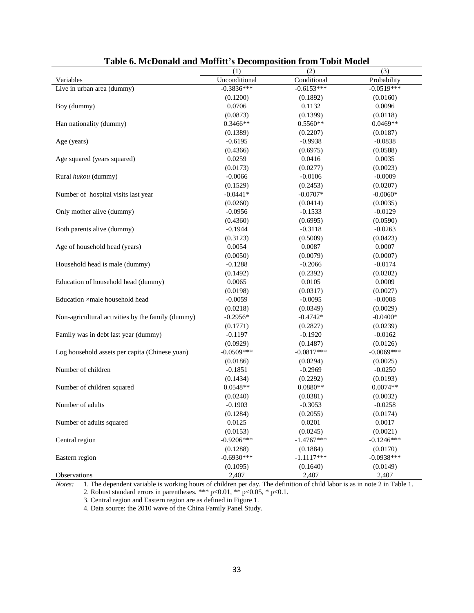| таріс отневоната ана ніопис з весопірозной п'оні торіс ніоасі | (1)           | (2)          | (3)          |
|---------------------------------------------------------------|---------------|--------------|--------------|
| Variables                                                     | Unconditional | Conditional  | Probability  |
| Live in urban area (dummy)                                    | $-0.3836***$  | $-0.6153***$ | $-0.0519***$ |
|                                                               | (0.1200)      | (0.1892)     | (0.0160)     |
| Boy (dummy)                                                   | 0.0706        | 0.1132       | 0.0096       |
|                                                               | (0.0873)      | (0.1399)     | (0.0118)     |
| Han nationality (dummy)                                       | 0.3466**      | $0.5560**$   | $0.0469**$   |
|                                                               | (0.1389)      | (0.2207)     | (0.0187)     |
| Age (years)                                                   | $-0.6195$     | $-0.9938$    | $-0.0838$    |
|                                                               | (0.4366)      | (0.6975)     | (0.0588)     |
| Age squared (years squared)                                   | 0.0259        | 0.0416       | 0.0035       |
|                                                               | (0.0173)      | (0.0277)     | (0.0023)     |
| Rural hukou (dummy)                                           | $-0.0066$     | $-0.0106$    | $-0.0009$    |
|                                                               | (0.1529)      | (0.2453)     | (0.0207)     |
| Number of hospital visits last year                           | $-0.0441*$    | $-0.0707*$   | $-0.0060*$   |
|                                                               | (0.0260)      | (0.0414)     | (0.0035)     |
| Only mother alive (dummy)                                     | $-0.0956$     | $-0.1533$    | $-0.0129$    |
|                                                               | (0.4360)      | (0.6995)     | (0.0590)     |
| Both parents alive (dummy)                                    | $-0.1944$     | $-0.3118$    | $-0.0263$    |
|                                                               | (0.3123)      | (0.5009)     | (0.0423)     |
| Age of household head (years)                                 | 0.0054        | 0.0087       | 0.0007       |
|                                                               | (0.0050)      | (0.0079)     | (0.0007)     |
| Household head is male (dummy)                                | $-0.1288$     | $-0.2066$    | $-0.0174$    |
|                                                               | (0.1492)      | (0.2392)     | (0.0202)     |
| Education of household head (dummy)                           | 0.0065        | 0.0105       | 0.0009       |
|                                                               | (0.0198)      | (0.0317)     | (0.0027)     |
| Education ×male household head                                | $-0.0059$     | $-0.0095$    | $-0.0008$    |
|                                                               | (0.0218)      | (0.0349)     | (0.0029)     |
| Non-agricultural activities by the family (dummy)             | $-0.2956*$    | $-0.4742*$   | $-0.0400*$   |
|                                                               | (0.1771)      | (0.2827)     | (0.0239)     |
| Family was in debt last year (dummy)                          | $-0.1197$     | $-0.1920$    | $-0.0162$    |
|                                                               | (0.0929)      | (0.1487)     | (0.0126)     |
| Log household assets per capita (Chinese yuan)                | $-0.0509***$  | $-0.0817***$ | $-0.0069***$ |
|                                                               | (0.0186)      | (0.0294)     | (0.0025)     |
| Number of children                                            | $-0.1851$     | $-0.2969$    | $-0.0250$    |
|                                                               | (0.1434)      | (0.2292)     | (0.0193)     |
| Number of children squared                                    | $0.0548**$    | $0.0880**$   | $0.0074**$   |
|                                                               | (0.0240)      | (0.0381)     | (0.0032)     |
| Number of adults                                              | $-0.1903$     | $-0.3053$    | $-0.0258$    |
|                                                               | (0.1284)      | (0.2055)     | (0.0174)     |
| Number of adults squared                                      | 0.0125        | 0.0201       | 0.0017       |
|                                                               | (0.0153)      | (0.0245)     | (0.0021)     |
| Central region                                                | $-0.9206***$  | $-1.4767***$ | $-0.1246***$ |
|                                                               | (0.1288)      | (0.1884)     | (0.0170)     |
| Eastern region                                                | $-0.6930***$  | $-1.1117***$ | $-0.0938***$ |
|                                                               | (0.1095)      | (0.1640)     | (0.0149)     |
| Observations                                                  | 2,407         | 2,407        | 2,407        |

*Notes:* 1. The dependent variable is working hours of children per day. The definition of child labor is as in note 2 in Table 1. 2. Robust standard errors in parentheses. \*\*\* p<0.01, \*\* p<0.05, \* p<0.1.

3. Central region and Eastern region are as defined in Figure 1.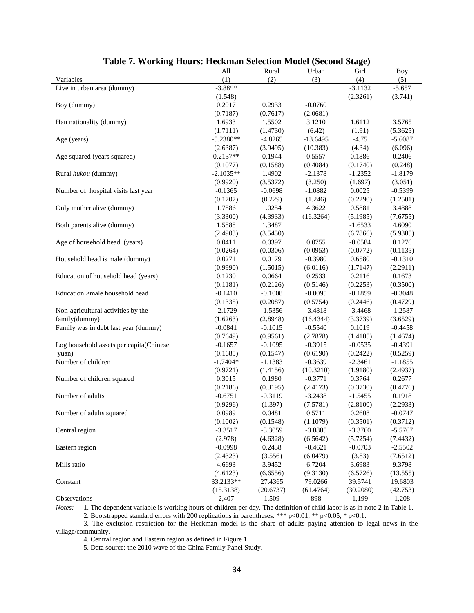| TAUR 7. WURING                          |             |           | Trouts, recomman belection mouer (become biage) |           |            |
|-----------------------------------------|-------------|-----------|-------------------------------------------------|-----------|------------|
|                                         | All         | Rural     | Urban                                           | Girl      | <b>Boy</b> |
| Variables                               | (1)         | (2)       | (3)                                             | (4)       | (5)        |
| Live in urban area (dummy)              | $-3.88**$   |           |                                                 | $-3.1132$ | $-5.657$   |
|                                         | (1.548)     |           |                                                 | (2.3261)  | (3.741)    |
| Boy (dummy)                             | 0.2017      | 0.2933    | $-0.0760$                                       |           |            |
|                                         | (0.7187)    | (0.7617)  | (2.0681)                                        |           |            |
| Han nationality (dummy)                 | 1.6933      | 1.5502    | 3.1210                                          | 1.6112    | 3.5765     |
|                                         | (1.7111)    | (1.4730)  | (6.42)                                          | (1.91)    | (5.3625)   |
| Age (years)                             | $-5.2380**$ | $-4.8265$ | $-13.6495$                                      | $-4.75$   | $-5.6087$  |
|                                         | (2.6387)    | (3.9495)  | (10.383)                                        | (4.34)    | (6.096)    |
| Age squared (years squared)             | $0.2137**$  | 0.1944    | 0.5557                                          | 0.1886    | 0.2406     |
|                                         | (0.1077)    | (0.1588)  | (0.4084)                                        | (0.1740)  | (0.248)    |
| Rural hukou (dummy)                     | $-2.1035**$ | 1.4902    | $-2.1378$                                       | $-1.2352$ | $-1.8179$  |
|                                         | (0.9920)    | (3.5372)  | (3.250)                                         | (1.697)   | (3.051)    |
| Number of hospital visits last year     | $-0.1365$   | $-0.0698$ | $-1.0882$                                       | 0.0025    | $-0.5399$  |
|                                         | (0.1707)    | (0.229)   | (1.246)                                         | (0.2290)  | (1.2501)   |
| Only mother alive (dummy)               | 1.7886      | 1.0254    | 4.3622                                          | 0.5881    | 3.4888     |
|                                         | (3.3300)    | (4.3933)  | (16.3264)                                       | (5.1985)  | (7.6755)   |
| Both parents alive (dummy)              | 1.5888      | 1.3487    |                                                 | $-1.6533$ | 4.6090     |
|                                         | (2.4903)    | (3.5450)  |                                                 | (6.7866)  | (5.9385)   |
| Age of household head (years)           | 0.0411      | 0.0397    | 0.0755                                          | $-0.0584$ | 0.1276     |
|                                         | (0.0264)    | (0.0306)  | (0.0953)                                        | (0.0772)  | (0.1135)   |
| Household head is male (dummy)          | 0.0271      | 0.0179    | $-0.3980$                                       | 0.6580    | $-0.1310$  |
|                                         | (0.9990)    | (1.5015)  | (6.0116)                                        | (1.7147)  | (2.2911)   |
| Education of household head (years)     | 0.1230      | 0.0664    | 0.2533                                          | 0.2116    | 0.1673     |
|                                         | (0.1181)    | (0.2126)  | (0.5146)                                        | (0.2253)  | (0.3500)   |
| Education ×male household head          | $-0.1410$   | $-0.1008$ | $-0.0095$                                       | $-0.1859$ | $-0.3048$  |
|                                         | (0.1335)    | (0.2087)  | (0.5754)                                        | (0.2446)  | (0.4729)   |
| Non-agricultural activities by the      | $-2.1729$   | $-1.5356$ | $-3.4818$                                       | $-3.4468$ | $-1.2587$  |
| family(dummy)                           | (1.6263)    | (2.8948)  | (16.4344)                                       | (3.3739)  | (3.6529)   |
| Family was in debt last year (dummy)    | $-0.0841$   | $-0.1015$ | $-0.5540$                                       | 0.1019    | $-0.4458$  |
|                                         | (0.7649)    | (0.9561)  | (2.7878)                                        | (1.4105)  | (1.4674)   |
| Log household assets per capita(Chinese | $-0.1657$   | $-0.1095$ | $-0.3915$                                       | $-0.0535$ | $-0.4391$  |
| yuan)                                   | (0.1685)    | (0.1547)  | (0.6190)                                        | (0.2422)  | (0.5259)   |
| Number of children                      | $-1.7404*$  | $-1.1383$ | $-0.3639$                                       | $-2.3461$ | $-1.1855$  |
|                                         | (0.9721)    | (1.4156)  | (10.3210)                                       | (1.9180)  | (2.4937)   |
| Number of children squared              | 0.3015      | 0.1980    | $-0.3771$                                       | 0.3764    | 0.2677     |
|                                         | (0.2186)    | (0.3195)  | (2.4173)                                        | (0.3730)  | (0.4776)   |
| Number of adults                        | $-0.6751$   | $-0.3119$ | $-3.2438$                                       | $-1.5455$ | 0.1918     |
|                                         | (0.9296)    | (1.397)   | (7.5781)                                        | (2.8100)  | (2.2933)   |
| Number of adults squared                | 0.0989      | 0.0481    | 0.5711                                          | 0.2608    | $-0.0747$  |
|                                         | (0.1002)    | (0.1548)  | (1.1079)                                        | (0.3501)  | (0.3712)   |
| Central region                          | $-3.3517$   | $-3.3059$ | $-3.8885$                                       | $-3.3760$ | $-5.5767$  |
|                                         | (2.978)     | (4.6328)  | (6.5642)                                        | (5.7254)  | (7.4432)   |
| Eastern region                          | $-0.0998$   | 0.2438    | $-0.4621$                                       | $-0.0703$ | $-2.5502$  |
|                                         | (2.4323)    | (3.556)   | (6.0479)                                        | (3.83)    | (7.6512)   |
| Mills ratio                             | 4.6693      | 3.9452    | 6.7204                                          | 3.6983    | 9.3798     |
|                                         | (4.6123)    | (6.6556)  | (9.3130)                                        | (6.5726)  | (13.555)   |
| Constant                                | 33.2133**   | 27.4365   | 79.0266                                         | 39.5741   | 19.6803    |
|                                         | (15.3138)   | (20.6737) | (61.4764)                                       | (30.2080) | (42.753)   |
| Observations                            | 2,407       | 1,509     | 898                                             | 1,199     | 1,208      |

|  | <b>Table 7. Working Hours: Heckman Selection Model (Second Stage)</b> |
|--|-----------------------------------------------------------------------|
|  |                                                                       |

*Notes:* 1. The dependent variable is working hours of children per day. The definition of child labor is as in note 2 in Table 1.

2. Bootstrapped standard errors with 200 replications in parentheses. \*\*\* p<0.01, \*\* p<0.05, \* p<0.1.

3. The exclusion restriction for the Heckman model is the share of adults paying attention to legal news in the village/community.

4. Central region and Eastern region as defined in Figure 1.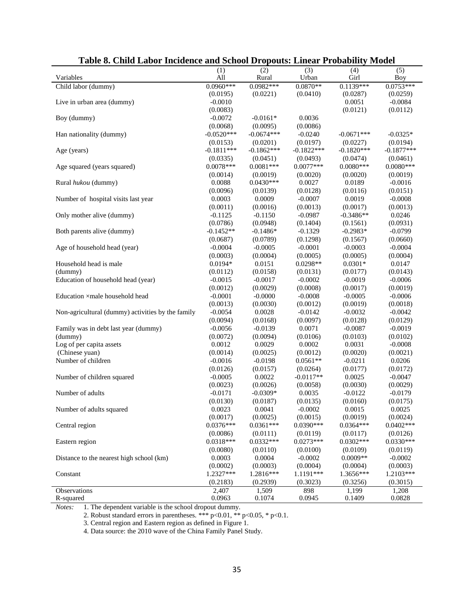|                                                   | (1)                     | (2)                     | (3)                     | (4)                     | (5)                     |
|---------------------------------------------------|-------------------------|-------------------------|-------------------------|-------------------------|-------------------------|
| Variables                                         | All                     | Rural                   | Urban                   | Girl                    | <b>Boy</b>              |
| Child labor (dummy)                               | $0.0960***$             | $0.0982***$             | $0.0870**$              | $0.1139***$             | $0.0753***$             |
|                                                   | (0.0195)                | (0.0221)                | (0.0410)                | (0.0287)                | (0.0259)                |
| Live in urban area (dummy)                        | $-0.0010$               |                         |                         | 0.0051                  | $-0.0084$               |
|                                                   | (0.0083)                |                         |                         | (0.0121)                | (0.0112)                |
|                                                   | $-0.0072$               | $-0.0161*$              |                         |                         |                         |
| Boy (dummy)                                       |                         |                         | 0.0036                  |                         |                         |
|                                                   | (0.0068)                | (0.0095)                | (0.0086)                |                         |                         |
| Han nationality (dummy)                           | $-0.0520***$            | $-0.0674***$            | $-0.0240$               | $-0.0671***$            | $-0.0325*$              |
|                                                   | (0.0153)                | (0.0201)                | (0.0197)                | (0.0227)                | (0.0194)                |
| Age (years)                                       | $-0.1811***$            | $-0.1862***$            | $-0.1822***$            | $-0.1820***$            | $-0.1877***$            |
|                                                   | (0.0335)                | (0.0451)                | (0.0493)                | (0.0474)                | (0.0461)                |
| Age squared (years squared)                       | $0.0078***$             | $0.0081***$             | $0.0077***$             | $0.0080***$             | $0.0080***$             |
|                                                   | (0.0014)                | (0.0019)                | (0.0020)                | (0.0020)                | (0.0019)                |
| Rural hukou (dummy)                               | 0.0088                  | $0.0430***$             | 0.0027                  | 0.0189                  | $-0.0016$               |
|                                                   | (0.0096)                | (0.0139)                | (0.0128)                | (0.0116)                | (0.0151)                |
| Number of hospital visits last year               | 0.0003                  | 0.0009                  | $-0.0007$               | 0.0019                  | $-0.0008$               |
|                                                   | (0.0011)                | (0.0016)                | (0.0013)                | (0.0017)                | (0.0013)                |
| Only mother alive (dummy)                         | $-0.1125$               | $-0.1150$               | $-0.0987$               | $-0.3486**$             | 0.0246                  |
|                                                   | (0.0786)                | (0.0948)                | (0.1404)                | (0.1561)                | (0.0931)                |
| Both parents alive (dummy)                        | $-0.1452**$             | $-0.1486*$              | $-0.1329$               | $-0.2983*$              | $-0.0799$               |
|                                                   | (0.0687)                | (0.0789)                | (0.1298)                | (0.1567)                | (0.0660)                |
| Age of household head (year)                      | $-0.0004$               | $-0.0005$               | $-0.0001$               | $-0.0003$               | $-0.0004$               |
|                                                   | (0.0003)                | (0.0004)                | (0.0005)                | (0.0005)                | (0.0004)                |
| Household head is male                            | 0.0194*                 | 0.0151                  | $0.0298**$              | $0.0301*$               | 0.0147                  |
| (dummy)                                           | (0.0112)                | (0.0158)                | (0.0131)                | (0.0177)                | (0.0143)                |
| Education of household head (year)                | $-0.0015$               | $-0.0017$               | $-0.0002$               | $-0.0019$               | $-0.0006$               |
|                                                   | (0.0012)                | (0.0029)                | (0.0008)                | (0.0017)                | (0.0019)                |
| Education ×male household head                    | $-0.0001$               | $-0.0000$               | $-0.0008$               | $-0.0005$               | $-0.0006$               |
|                                                   | (0.0013)                | (0.0030)                | (0.0012)                | (0.0019)                | (0.0018)                |
| Non-agricultural (dummy) activities by the family | $-0.0054$               | 0.0028                  | $-0.0142$               | $-0.0032$               | $-0.0042$               |
|                                                   | (0.0094)                | (0.0168)                | (0.0097)                | (0.0128)                | (0.0129)                |
| Family was in debt last year (dummy)              | $-0.0056$               | $-0.0139$               | 0.0071                  | $-0.0087$               | $-0.0019$               |
| (dummy)                                           | (0.0072)                | (0.0094)                | (0.0106)                | (0.0103)                | (0.0102)                |
| Log of per capita assets                          | 0.0012                  | 0.0029                  | 0.0002                  | 0.0031                  | $-0.0008$               |
| (Chinese yuan)                                    | (0.0014)                | (0.0025)                | (0.0012)                | (0.0020)                | (0.0021)                |
| Number of children                                | $-0.0016$               | $-0.0198$               | $0.0561**$              | $-0.0211$               | 0.0206                  |
|                                                   | (0.0126)                | (0.0157)                | (0.0264)                | (0.0177)                | (0.0172)                |
| Number of children squared                        | $-0.0005$               | 0.0022                  | $-0.0117**$             | 0.0025                  | $-0.0047$               |
|                                                   | (0.0023)                | (0.0026)                | (0.0058)                | (0.0030)                | (0.0029)                |
| Number of adults                                  | $-0.0171$               | $-0.0309*$              | 0.0035                  | $-0.0122$               | $-0.0179$               |
|                                                   | (0.0130)                | (0.0187)                | (0.0135)                | (0.0160)                | (0.0175)                |
| Number of adults squared                          | 0.0023                  | 0.0041                  | $-0.0002$               | 0.0015                  | 0.0025                  |
|                                                   | (0.0017)                | (0.0025)                | (0.0015)                | (0.0019)                | (0.0024)                |
| Central region                                    | $0.0376***$             | $0.0361***$             | $0.0390***$             | $0.0364***$             | $0.0402***$             |
|                                                   |                         |                         |                         |                         |                         |
|                                                   | (0.0086)<br>$0.0318***$ | (0.0111)<br>$0.0332***$ | (0.0119)<br>$0.0273***$ | (0.0117)<br>$0.0302***$ | (0.0126)<br>$0.0330***$ |
| Eastern region                                    |                         |                         |                         |                         |                         |
|                                                   | (0.0080)                | (0.0110)                | (0.0100)                | (0.0109)                | (0.0119)                |
| Distance to the nearest high school (km)          | 0.0003                  | 0.0004                  | $-0.0002$               | $0.0009**$              | $-0.0002$               |
|                                                   | (0.0002)                | (0.0003)                | (0.0004)                | (0.0004)                | (0.0003)                |
| Constant                                          | 1.2327***               | 1.2816***               | 1.1191***               | 1.3656***               | $1.2103***$             |
|                                                   | (0.2183)                | (0.2939)                | (0.3023)                | (0.3256)                | (0.3015)                |
| Observations                                      | 2,407                   | 1,509                   | 898                     | 1,199                   | 1,208                   |
| R-squared                                         | 0.0963                  | 0.1074                  | 0.0945                  | 0.1409                  | 0.0828                  |

# **Table 8. Child Labor Incidence and School Dropouts: Linear Probability Model**

*Notes:* 1. The dependent variable is the school dropout dummy.

2. Robust standard errors in parentheses. \*\*\* p<0.01, \*\* p<0.05, \* p<0.1.

3. Central region and Eastern region as defined in Figure 1.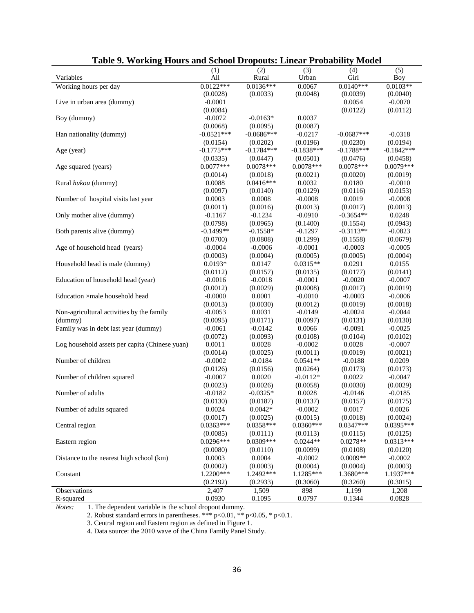|                                                | (1)          | (2)          | (3)          | (4)          | (5)          |
|------------------------------------------------|--------------|--------------|--------------|--------------|--------------|
| Variables                                      | All          | Rural        | Urban        | Girl         | <b>Boy</b>   |
| Working hours per day                          | $0.0122***$  | $0.0136***$  | 0.0067       | $0.0140***$  | $0.0103**$   |
|                                                | (0.0028)     | (0.0033)     | (0.0048)     | (0.0039)     | (0.0040)     |
| Live in urban area (dummy)                     | $-0.0001$    |              |              | 0.0054       | $-0.0070$    |
|                                                | (0.0084)     |              |              | (0.0122)     | (0.0112)     |
| Boy (dummy)                                    | $-0.0072$    | $-0.0163*$   | 0.0037       |              |              |
|                                                | (0.0068)     | (0.0095)     | (0.0087)     |              |              |
| Han nationality (dummy)                        | $-0.0521***$ | $-0.0686***$ | $-0.0217$    | $-0.0687***$ | $-0.0318$    |
|                                                | (0.0154)     | (0.0202)     | (0.0196)     | (0.0230)     | (0.0194)     |
| Age (year)                                     | $-0.1775***$ | $-0.1784***$ | $-0.1838***$ | $-0.1788***$ | $-0.1842***$ |
|                                                | (0.0335)     | (0.0447)     | (0.0501)     | (0.0476)     | (0.0458)     |
| Age squared (years)                            | $0.0077***$  | $0.0078***$  | $0.0078***$  | $0.0078***$  | $0.0079***$  |
|                                                | (0.0014)     | (0.0018)     | (0.0021)     | (0.0020)     | (0.0019)     |
| Rural hukou (dummy)                            | 0.0088       | $0.0416***$  | 0.0032       | 0.0180       | $-0.0010$    |
|                                                | (0.0097)     | (0.0140)     | (0.0129)     | (0.0116)     | (0.0153)     |
| Number of hospital visits last year            | 0.0003       | 0.0008       | $-0.0008$    | 0.0019       | $-0.0008$    |
|                                                | (0.0011)     | (0.0016)     | (0.0013)     | (0.0017)     | (0.0013)     |
| Only mother alive (dummy)                      | $-0.1167$    | $-0.1234$    | $-0.0910$    | $-0.3654**$  | 0.0248       |
|                                                | (0.0798)     | (0.0965)     | (0.1400)     | (0.1554)     | (0.0943)     |
| Both parents alive (dummy)                     | $-0.1499**$  | $-0.1558*$   | $-0.1297$    | $-0.3113**$  | $-0.0823$    |
|                                                | (0.0700)     | (0.0808)     | (0.1299)     | (0.1558)     | (0.0679)     |
| Age of household head (years)                  | $-0.0004$    | $-0.0006$    | $-0.0001$    | $-0.0003$    | $-0.0005$    |
|                                                | (0.0003)     | (0.0004)     | (0.0005)     | (0.0005)     | (0.0004)     |
| Household head is male (dummy)                 | $0.0193*$    | 0.0147       | $0.0315**$   | 0.0291       | 0.0155       |
|                                                | (0.0112)     | (0.0157)     | (0.0135)     | (0.0177)     | (0.0141)     |
| Education of household head (year)             | $-0.0016$    | $-0.0018$    | $-0.0001$    | $-0.0020$    | $-0.0007$    |
|                                                | (0.0012)     | (0.0029)     | (0.0008)     | (0.0017)     | (0.0019)     |
| Education ×male household head                 | $-0.0000$    | 0.0001       | $-0.0010$    | $-0.0003$    | $-0.0006$    |
|                                                | (0.0013)     | (0.0030)     | (0.0012)     | (0.0019)     | (0.0018)     |
| Non-agricultural activities by the family      | $-0.0053$    | 0.0031       | $-0.0149$    | $-0.0024$    | $-0.0044$    |
| (dummy)                                        | (0.0095)     | (0.0171)     | (0.0097)     | (0.0131)     | (0.0130)     |
| Family was in debt last year (dummy)           | $-0.0061$    | $-0.0142$    | 0.0066       | $-0.0091$    | $-0.0025$    |
|                                                | (0.0072)     | (0.0093)     | (0.0108)     | (0.0104)     | (0.0102)     |
| Log household assets per capita (Chinese yuan) | 0.0011       | 0.0028       | $-0.0002$    | 0.0028       | $-0.0007$    |
|                                                | (0.0014)     | (0.0025)     | (0.0011)     | (0.0019)     | (0.0021)     |
| Number of children                             | $-0.0002$    | $-0.0184$    | $0.0541**$   | $-0.0188$    | 0.0209       |
|                                                | (0.0126)     | (0.0156)     | (0.0264)     | (0.0173)     | (0.0173)     |
| Number of children squared                     | $-0.0007$    | 0.0020       | $-0.0112*$   | 0.0022       | $-0.0047$    |
|                                                | (0.0023)     | (0.0026)     | (0.0058)     | (0.0030)     | (0.0029)     |
| Number of adults                               | $-0.0182$    | $-0.0325*$   | 0.0028       | $-0.0146$    | $-0.0185$    |
|                                                | (0.0130)     | (0.0187)     | (0.0137)     | (0.0157)     | (0.0175)     |
| Number of adults squared                       | 0.0024       | $0.0042*$    | $-0.0002$    | 0.0017       | 0.0026       |
|                                                | (0.0017)     | (0.0025)     | (0.0015)     | (0.0018)     | (0.0024)     |
| Central region                                 | $0.0363***$  | $0.0358***$  | $0.0360***$  | $0.0347***$  | 0.0395***    |
|                                                | (0.0085)     | (0.0111)     | (0.0113)     | (0.0115)     | (0.0125)     |
| Eastern region                                 | $0.0296***$  | $0.0309***$  | $0.0244**$   | $0.0278**$   | $0.0313***$  |
|                                                | (0.0080)     | (0.0110)     | (0.0099)     | (0.0108)     | (0.0120)     |
| Distance to the nearest high school (km)       | 0.0003       | 0.0004       | $-0.0002$    | $0.0009**$   | $-0.0002$    |
|                                                | (0.0002)     | (0.0003)     | (0.0004)     | (0.0004)     | (0.0003)     |
| Constant                                       | 1.2200***    | 1.2492***    | 1.1285***    | 1.3680***    | 1.1937***    |
|                                                | (0.2192)     | (0.2933)     | (0.3060)     | (0.3260)     | (0.3015)     |
| Observations                                   | 2,407        | 1,509        | 898          | 1,199        | 1,208        |
| R-squared                                      | 0.0930       | 0.1095       | 0.0797       | 0.1344       | 0.0828       |

### **Table 9. Working Hours and School Dropouts: Linear Probability Model**

*Notes:* 1. The dependent variable is the school dropout dummy.

2. Robust standard errors in parentheses. \*\*\*  $p<0.01$ , \*\*  $p<0.05$ , \*  $p<0.1$ .

3. Central region and Eastern region as defined in Figure 1.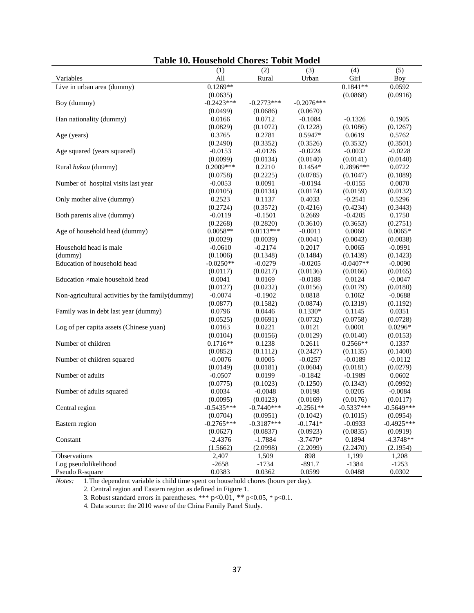|                                                  |              | oit Iv. Housthold Chorts. Toon model |              |              |              |
|--------------------------------------------------|--------------|--------------------------------------|--------------|--------------|--------------|
|                                                  | (1)          | (2)                                  | (3)          | (4)          | (5)          |
| Variables                                        | All          | Rural                                | Urban        | Girl         | Boy          |
| Live in urban area (dummy)                       | $0.1269**$   |                                      |              | $0.1841**$   | 0.0592       |
|                                                  | (0.0635)     |                                      |              | (0.0868)     | (0.0916)     |
| Boy (dummy)                                      | $-0.2423***$ | $-0.2773***$                         | $-0.2076***$ |              |              |
|                                                  | (0.0499)     | (0.0686)                             | (0.0670)     |              |              |
| Han nationality (dummy)                          | 0.0166       | 0.0712                               | $-0.1084$    | $-0.1326$    | 0.1905       |
|                                                  | (0.0829)     | (0.1072)                             | (0.1228)     | (0.1086)     | (0.1267)     |
| Age (years)                                      | 0.3765       | 0.2781                               | $0.5947*$    | 0.0619       | 0.5762       |
|                                                  | (0.2490)     | (0.3352)                             | (0.3526)     | (0.3532)     | (0.3501)     |
| Age squared (years squared)                      | $-0.0153$    | $-0.0126$                            | $-0.0224$    | $-0.0032$    | $-0.0228$    |
|                                                  | (0.0099)     | (0.0134)                             | (0.0140)     | (0.0141)     | (0.0140)     |
| Rural hukou (dummy)                              | 0.2009 ***   | 0.2210                               | $0.1454*$    | 0.2896***    | 0.0722       |
|                                                  | (0.0758)     | (0.2225)                             | (0.0785)     | (0.1047)     | (0.1089)     |
| Number of hospital visits last year              | $-0.0053$    | 0.0091                               | $-0.0194$    | $-0.0155$    | 0.0070       |
|                                                  | (0.0105)     | (0.0134)                             | (0.0174)     | (0.0159)     | (0.0132)     |
| Only mother alive (dummy)                        | 0.2523       | 0.1137                               | 0.4033       | $-0.2541$    | 0.5296       |
|                                                  | (0.2724)     | (0.3572)                             | (0.4216)     | (0.4234)     | (0.3443)     |
| Both parents alive (dummy)                       | $-0.0119$    | $-0.1501$                            | 0.2669       | $-0.4205$    | 0.1750       |
|                                                  | (0.2268)     | (0.2820)                             | (0.3610)     | (0.3653)     | (0.2751)     |
| Age of household head (dummy)                    | $0.0058**$   | $0.0113***$                          | $-0.0011$    | 0.0060       | $0.0065*$    |
|                                                  | (0.0029)     | (0.0039)                             | (0.0041)     | (0.0043)     | (0.0038)     |
| Household head is male                           | $-0.0610$    | $-0.2174$                            | 0.2017       | 0.0065       | $-0.0991$    |
| (dummy)                                          | (0.1006)     | (0.1348)                             | (0.1484)     | (0.1439)     | (0.1423)     |
| Education of household head                      | $-0.0250**$  | $-0.0279$                            | $-0.0205$    | $-0.0407**$  | $-0.0090$    |
|                                                  | (0.0117)     | (0.0217)                             | (0.0136)     | (0.0166)     | (0.0165)     |
| Education ×male household head                   | 0.0041       | 0.0169                               | $-0.0188$    | 0.0124       | $-0.0047$    |
|                                                  | (0.0127)     | (0.0232)                             | (0.0156)     | (0.0179)     | (0.0180)     |
| Non-agricultural activities by the family(dummy) | $-0.0074$    | $-0.1902$                            | 0.0818       | 0.1062       | $-0.0688$    |
|                                                  | (0.0877)     | (0.1582)                             | (0.0874)     | (0.1319)     | (0.1192)     |
| Family was in debt last year (dummy)             | 0.0796       | 0.0446                               | $0.1330*$    | 0.1145       | 0.0351       |
|                                                  | (0.0525)     | (0.0691)                             | (0.0732)     | (0.0758)     | (0.0728)     |
| Log of per capita assets (Chinese yuan)          | 0.0163       | 0.0221                               | 0.0121       | 0.0001       | $0.0296*$    |
|                                                  | (0.0104)     | (0.0156)                             | (0.0129)     | (0.0140)     | (0.0153)     |
| Number of children                               | $0.1716**$   | 0.1238                               | 0.2611       | $0.2566**$   | 0.1337       |
|                                                  | (0.0852)     | (0.1112)                             | (0.2427)     | (0.1135)     | (0.1400)     |
| Number of children squared                       | $-0.0076$    | 0.0005                               | $-0.0257$    | $-0.0189$    | $-0.0112$    |
|                                                  | (0.0149)     | (0.0181)                             | (0.0604)     | (0.0181)     | (0.0279)     |
| Number of adults                                 | $-0.0507$    | 0.0199                               | $-0.1842$    | $-0.1989$    | 0.0602       |
|                                                  | (0.0775)     | (0.1023)                             | (0.1250)     | (0.1343)     | (0.0992)     |
| Number of adults squared                         | 0.0034       | $-0.0048$                            | 0.0198       | 0.0205       | $-0.0084$    |
|                                                  | (0.0095)     | (0.0123)                             | (0.0169)     | (0.0176)     | (0.0117)     |
| Central region                                   | $-0.5435***$ | $-0.7440***$                         | $-0.2561**$  | $-0.5337***$ | $-0.5649***$ |
|                                                  | (0.0704)     | (0.0951)                             | (0.1042)     | (0.1015)     | (0.0954)     |
| Eastern region                                   | $-0.2765***$ | $-0.3187***$                         | $-0.1741*$   | $-0.0933$    | $-0.4925***$ |
|                                                  | (0.0627)     | (0.0837)                             | (0.0923)     | (0.0835)     | (0.0919)     |
| Constant                                         | $-2.4376$    | $-1.7884$                            | $-3.7470*$   | 0.1894       | $-4.3748**$  |
|                                                  | (1.5662)     | (2.0998)                             | (2.2099)     | (2.2470)     | (2.1954)     |
| Observations                                     | 2,407        | 1,509                                | 898          | 1,199        | 1,208        |
| Log pseudolikelihood                             | $-2658$      | $-1734$                              | $-891.7$     | $-1384$      | $-1253$      |
| Pseudo R-square                                  | 0.0383       | 0.0362                               | 0.0599       | 0.0488       | 0.0302       |

# **Table 10. Household Chores: Tobit Model**

*Notes:* 1.The dependent variable is child time spent on household chores (hours per day).

2. Central region and Eastern region as defined in Figure 1.

3. Robust standard errors in parentheses. \*\*\*  $p<0.01$ , \*\*  $p<0.05$ , \*  $p<0.1$ .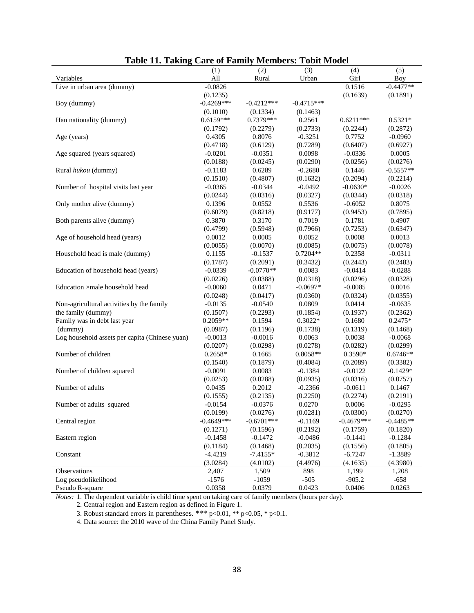|                                                | $\cup$ ar v $\cdot$ vi anni<br>(1) | THUMMON DI<br>(2) | TANIC BILOWS<br>(3) | (4)          | (5)         |
|------------------------------------------------|------------------------------------|-------------------|---------------------|--------------|-------------|
| Variables                                      | All                                | Rural             | Urban               | Girl         | Boy         |
| Live in urban area (dummy)                     | $-0.0826$                          |                   |                     | 0.1516       | $-0.4477**$ |
|                                                | (0.1235)                           |                   |                     | (0.1639)     | (0.1891)    |
| Boy (dummy)                                    | $-0.4269***$                       | $-0.4212***$      | $-0.4715***$        |              |             |
|                                                | (0.1010)                           | (0.1334)          | (0.1463)            |              |             |
| Han nationality (dummy)                        | $0.6159***$                        | $0.7379***$       | 0.2561              | $0.6211***$  | $0.5321*$   |
|                                                | (0.1792)                           | (0.2279)          | (0.2733)            | (0.2244)     | (0.2872)    |
| Age (years)                                    | 0.4305                             | 0.8076            | $-0.3251$           | 0.7752       | $-0.0960$   |
|                                                | (0.4718)                           | (0.6129)          | (0.7289)            | (0.6407)     | (0.6927)    |
| Age squared (years squared)                    | $-0.0201$                          | $-0.0351$         | 0.0098              | $-0.0336$    | 0.0005      |
|                                                | (0.0188)                           | (0.0245)          | (0.0290)            | (0.0256)     | (0.0276)    |
| Rural hukou (dummy)                            | $-0.1183$                          | 0.6289            | $-0.2680$           | 0.1446       | $-0.5557**$ |
|                                                | (0.1510)                           | (0.4807)          | (0.1632)            | (0.2094)     | (0.2214)    |
| Number of hospital visits last year            | $-0.0365$                          | $-0.0344$         | $-0.0492$           | $-0.0630*$   | $-0.0026$   |
|                                                | (0.0244)                           | (0.0316)          | (0.0327)            | (0.0344)     | (0.0318)    |
| Only mother alive (dummy)                      | 0.1396                             | 0.0552            | 0.5536              | $-0.6052$    | 0.8075      |
|                                                | (0.6079)                           | (0.8218)          | (0.9177)            | (0.9453)     | (0.7895)    |
| Both parents alive (dummy)                     | 0.3870                             | 0.3170            | 0.7019              | 0.1781       | 0.4907      |
|                                                | (0.4799)                           | (0.5948)          | (0.7966)            | (0.7253)     | (0.6347)    |
| Age of household head (years)                  | 0.0012                             | 0.0005            | 0.0052              | 0.0008       | 0.0013      |
|                                                | (0.0055)                           | (0.0070)          | (0.0085)            | (0.0075)     | (0.0078)    |
| Household head is male (dummy)                 | 0.1155                             | $-0.1537$         | $0.7204**$          | 0.2358       | $-0.0311$   |
|                                                | (0.1787)                           | (0.2091)          | (0.3432)            | (0.2443)     | (0.2483)    |
| Education of household head (years)            | $-0.0339$                          | $-0.0770**$       | 0.0083              | $-0.0414$    | $-0.0288$   |
|                                                | (0.0226)                           | (0.0388)          | (0.0318)            | (0.0296)     | (0.0328)    |
| Education ×male household head                 | $-0.0060$                          | 0.0471            | $-0.0697*$          | $-0.0085$    | 0.0016      |
|                                                | (0.0248)                           | (0.0417)          | (0.0360)            | (0.0324)     | (0.0355)    |
| Non-agricultural activities by the family      | $-0.0135$                          | $-0.0540$         | 0.0809              | 0.0414       | $-0.0635$   |
| the family (dummy)                             | (0.1507)                           | (0.2293)          | (0.1854)            | (0.1937)     | (0.2362)    |
| Family was in debt last year                   | 0.2059**                           | 0.1594            | $0.3022*$           | 0.1680       | $0.2475*$   |
| (dummy)                                        | (0.0987)                           | (0.1196)          | (0.1738)            | (0.1319)     | (0.1468)    |
| Log household assets per capita (Chinese yuan) | $-0.0013$                          | $-0.0016$         | 0.0063              | 0.0038       | $-0.0068$   |
|                                                | (0.0207)                           | (0.0298)          | (0.0278)            | (0.0282)     | (0.0299)    |
| Number of children                             | $0.2658*$                          | 0.1665            | $0.8058**$          | 0.3590*      | $0.6746**$  |
|                                                | (0.1540)                           | (0.1879)          | (0.4084)            | (0.2089)     | (0.3382)    |
| Number of children squared                     | $-0.0091$                          | 0.0083            | $-0.1384$           | $-0.0122$    | $-0.1429*$  |
|                                                | (0.0253)                           | (0.0288)          | (0.0935)            | (0.0316)     | (0.0757)    |
| Number of adults                               | 0.0435                             | 0.2012            | $-0.2366$           | $-0.0611$    | 0.1467      |
|                                                | (0.1555)                           | (0.2135)          | (0.2250)            | (0.2274)     | (0.2191)    |
| Number of adults squared                       | $-0.0154$                          | $-0.0376$         | 0.0270              | 0.0006       | $-0.0295$   |
|                                                | (0.0199)                           | (0.0276)          | (0.0281)            | (0.0300)     | (0.0270)    |
| Central region                                 | $-0.4649***$                       | $-0.6701***$      | $-0.1169$           | $-0.4679***$ | $-0.4485**$ |
|                                                | (0.1271)                           | (0.1596)          | (0.2192)            | (0.1759)     | (0.1820)    |
| Eastern region                                 | $-0.1458$                          | $-0.1472$         | $-0.0486$           | $-0.1441$    | $-0.1284$   |
|                                                | (0.1184)                           | (0.1468)          | (0.2035)            | (0.1556)     | (0.1805)    |
| Constant                                       | $-4.4219$                          | $-7.4155*$        | $-0.3812$           | $-6.7247$    | $-1.3889$   |
|                                                | (3.0284)                           | (4.0102)          | (4.4976)            | (4.1635)     | (4.3980)    |
| Observations                                   | 2,407                              | 1,509             | 898                 | 1,199        | 1,208       |
| Log pseudolikelihood                           | $-1576$                            | $-1059$           | $-505$              | $-905.2$     | $-658$      |
| Pseudo R-square                                | 0.0358                             | 0.0379            | 0.0423              | 0.0406       | 0.0263      |

# **Table 11. Taking Care of Family Members: Tobit Model**

*Notes:* 1. The dependent variable is child time spent on taking care of family members (hours per day).

2. Central region and Eastern region as defined in Figure 1.

3. Robust standard errors in parentheses. \*\*\* p<0.01, \*\* p<0.05, \* p<0.1.